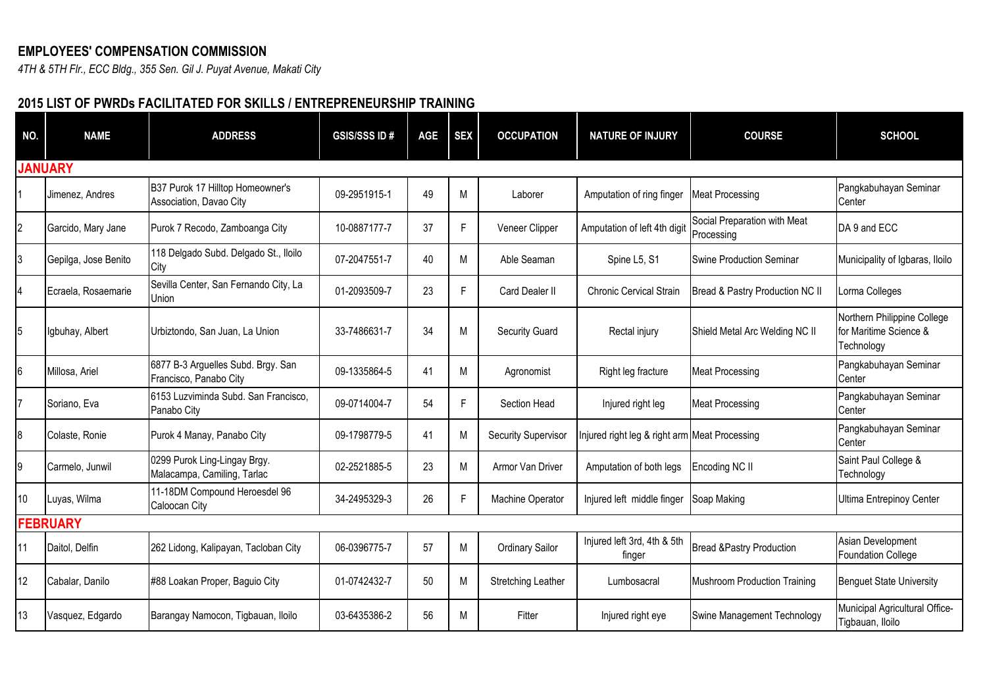## **EMPLOYEES' COMPENSATION COMMISSION**

*4TH & 5TH Flr., ECC Bldg., 355 Sen. Gil J. Puyat Avenue, Makati City*

## **2015 LIST OF PWRDs FACILITATED FOR SKILLS / ENTREPRENEURSHIP TRAINING**

| NO.            | <b>NAME</b>          | <b>ADDRESS</b>                                               | <b>GSIS/SSS ID#</b> | AGE | <b>SEX</b> | <b>OCCUPATION</b>          | <b>NATURE OF INJURY</b>                       | <b>COURSE</b>                              | <b>SCHOOL</b>                                                       |
|----------------|----------------------|--------------------------------------------------------------|---------------------|-----|------------|----------------------------|-----------------------------------------------|--------------------------------------------|---------------------------------------------------------------------|
|                | <b>JANUARY</b>       |                                                              |                     |     |            |                            |                                               |                                            |                                                                     |
|                | Jimenez, Andres      | B37 Purok 17 Hilltop Homeowner's<br>Association, Davao City  | 09-2951915-1        | 49  | M          | Laborer                    | Amputation of ring finger                     | <b>Meat Processing</b>                     | Pangkabuhayan Seminar<br>Center                                     |
| $\overline{c}$ | Garcido, Mary Jane   | Purok 7 Recodo, Zamboanga City                               | 10-0887177-7        | 37  | F          | Veneer Clipper             | Amputation of left 4th digit                  | Social Preparation with Meat<br>Processing | DA 9 and ECC                                                        |
| 3              | Gepilga, Jose Benito | 118 Delgado Subd. Delgado St., Iloilo<br>City                | 07-2047551-7        | 40  | M          | Able Seaman                | Spine L5, S1                                  | Swine Production Seminar                   | Municipality of Igbaras, Iloilo                                     |
| 4              | Ecraela, Rosaemarie  | Sevilla Center, San Fernando City, La<br>Union               | 01-2093509-7        | 23  | F          | Card Dealer II             | <b>Chronic Cervical Strain</b>                | Bread & Pastry Production NC II            | Lorma Colleges                                                      |
| 5              | Igbuhay, Albert      | Urbiztondo, San Juan, La Union                               | 33-7486631-7        | 34  | M          | <b>Security Guard</b>      | Rectal injury                                 | Shield Metal Arc Welding NC II             | Northern Philippine College<br>for Maritime Science &<br>Technology |
| 6              | Millosa, Ariel       | 6877 B-3 Arguelles Subd. Brgy. San<br>Francisco, Panabo City | 09-1335864-5        | 41  | M          | Agronomist                 | Right leg fracture                            | <b>Meat Processing</b>                     | Pangkabuhayan Seminar<br>Center                                     |
| 7              | Soriano, Eva         | 6153 Luzviminda Subd. San Francisco,<br>Panabo City          | 09-0714004-7        | 54  | F          | Section Head               | Injured right leg                             | <b>Meat Processing</b>                     | Pangkabuhayan Seminar<br>Center                                     |
| 8              | Colaste, Ronie       | Purok 4 Manay, Panabo City                                   | 09-1798779-5        | 41  | M          | <b>Security Supervisor</b> | Injured right leg & right arm Meat Processing |                                            | Pangkabuhayan Seminar<br>Center                                     |
| 9              | Carmelo, Junwil      | 0299 Purok Ling-Lingay Brgy.<br>Malacampa, Camiling, Tarlac  | 02-2521885-5        | 23  | M          | Armor Van Driver           | Amputation of both legs                       | Encoding NC II                             | Saint Paul College &<br>Technology                                  |
| 10             | Luyas, Wilma         | 11-18DM Compound Heroesdel 96<br>Caloocan City               | 34-2495329-3        | 26  | F          | Machine Operator           | Injured left middle finger                    | Soap Making                                | Ultima Entrepinoy Center                                            |
|                | <b>FEBRUARY</b>      |                                                              |                     |     |            |                            |                                               |                                            |                                                                     |
| 11             | Daitol, Delfin       | 262 Lidong, Kalipayan, Tacloban City                         | 06-0396775-7        | 57  | M          | <b>Ordinary Sailor</b>     | Injured left 3rd, 4th & 5th<br>finger         | <b>Bread &amp;Pastry Production</b>        | Asian Development<br><b>Foundation College</b>                      |
| 12             | Cabalar, Danilo      | #88 Loakan Proper, Baguio City                               | 01-0742432-7        | 50  | M          | <b>Stretching Leather</b>  | Lumbosacral                                   | Mushroom Production Training               | <b>Benguet State University</b>                                     |
| 13             | Vasquez, Edgardo     | Barangay Namocon, Tigbauan, Iloilo                           | 03-6435386-2        | 56  | M          | Fitter                     | Injured right eye                             | Swine Management Technology                | Municipal Agricultural Office-<br>Tigbauan, Iloilo                  |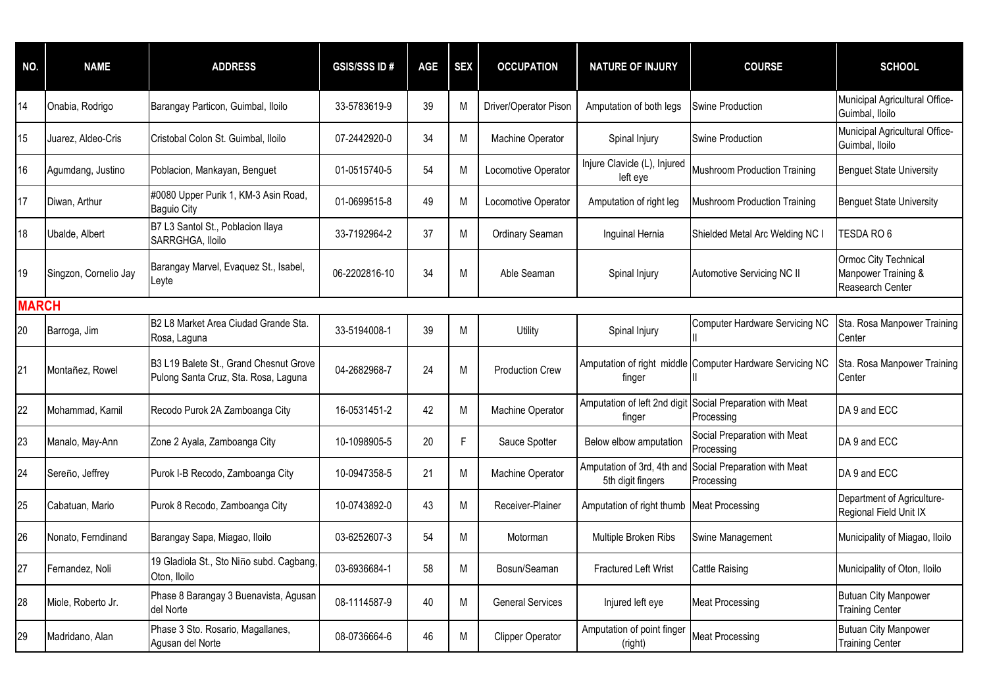| NO.          | <b>NAME</b>           | <b>ADDRESS</b>                                                                 | <b>GSIS/SSS ID#</b> | <b>AGE</b> | <b>SEX</b> | <b>OCCUPATION</b>       | <b>NATURE OF INJURY</b>                         | <b>COURSE</b>                                             | <b>SCHOOL</b>                                                   |
|--------------|-----------------------|--------------------------------------------------------------------------------|---------------------|------------|------------|-------------------------|-------------------------------------------------|-----------------------------------------------------------|-----------------------------------------------------------------|
| 14           | Onabia, Rodrigo       | Barangay Particon, Guimbal, Iloilo                                             | 33-5783619-9        | 39         | M          | Driver/Operator Pison   | Amputation of both legs                         | Swine Production                                          | Municipal Agricultural Office-<br>Guimbal, Iloilo               |
| 15           | Juarez, Aldeo-Cris    | Cristobal Colon St. Guimbal, Iloilo                                            | 07-2442920-0        | 34         | M          | Machine Operator        | Spinal Injury                                   | <b>Swine Production</b>                                   | Municipal Agricultural Office-<br>Guimbal, Iloilo               |
| 16           | Agumdang, Justino     | Poblacion, Mankayan, Benguet                                                   | 01-0515740-5        | 54         | M          | Locomotive Operator     | Injure Clavicle (L), Injured<br>left eye        | <b>Mushroom Production Training</b>                       | <b>Benguet State University</b>                                 |
| 17           | Diwan, Arthur         | #0080 Upper Purik 1, KM-3 Asin Road,<br><b>Baguio City</b>                     | 01-0699515-8        | 49         | M          | Locomotive Operator     | Amputation of right leg                         | <b>Mushroom Production Training</b>                       | <b>Benguet State University</b>                                 |
| 18           | Ubalde, Albert        | B7 L3 Santol St., Poblacion Ilaya<br>SARRGHGA, Iloilo                          | 33-7192964-2        | 37         | M          | Ordinary Seaman         | Inguinal Hernia                                 | Shielded Metal Arc Welding NC I                           | TESDA RO 6                                                      |
| 19           | Singzon, Cornelio Jay | Barangay Marvel, Evaquez St., Isabel,<br>Leyte                                 | 06-2202816-10       | 34         | M          | Able Seaman             | Spinal Injury                                   | Automotive Servicing NC II                                | Ormoc City Technical<br>Manpower Training &<br>Reasearch Center |
| <b>MARCH</b> |                       |                                                                                |                     |            |            |                         |                                                 |                                                           |                                                                 |
| 20           | Barroga, Jim          | B2 L8 Market Area Ciudad Grande Sta.<br>Rosa, Laguna                           | 33-5194008-1        | 39         | M          | Utility                 | Spinal Injury                                   | <b>Computer Hardware Servicing NC</b>                     | Sta. Rosa Manpower Training<br>Center                           |
| 21           | Montañez, Rowel       | B3 L19 Balete St., Grand Chesnut Grove<br>Pulong Santa Cruz, Sta. Rosa, Laguna | 04-2682968-7        | 24         | M          | <b>Production Crew</b>  | finger                                          | Amputation of right middle Computer Hardware Servicing NC | Sta. Rosa Manpower Training<br>Center                           |
| 22           | Mohammad, Kamil       | Recodo Purok 2A Zamboanga City                                                 | 16-0531451-2        | 42         | M          | Machine Operator        | Amputation of left 2nd digit<br>finger          | Social Preparation with Meat<br>Processing                | DA 9 and ECC                                                    |
| 23           | Manalo, May-Ann       | Zone 2 Ayala, Zamboanga City                                                   | 10-1098905-5        | 20         | F          | Sauce Spotter           | Below elbow amputation                          | Social Preparation with Meat<br>Processing                | DA 9 and ECC                                                    |
| 24           | Sereño, Jeffrey       | Purok I-B Recodo, Zamboanga City                                               | 10-0947358-5        | 21         | M          | Machine Operator        | Amputation of 3rd, 4th and<br>5th digit fingers | Social Preparation with Meat<br>Processing                | DA 9 and ECC                                                    |
| 25           | Cabatuan, Mario       | Purok 8 Recodo, Zamboanga City                                                 | 10-0743892-0        | 43         | M          | Receiver-Plainer        | Amputation of right thumb Meat Processing       |                                                           | Department of Agriculture-<br>Regional Field Unit IX            |
| 26           | Nonato, Ferndinand    | Barangay Sapa, Miagao, Iloilo                                                  | 03-6252607-3        | 54         | M          | Motorman                | Multiple Broken Ribs                            | Swine Management                                          | Municipality of Miagao, Iloilo                                  |
| 27           | Fernandez, Noli       | 19 Gladiola St., Sto Niño subd. Cagbang,<br>Oton, Iloilo                       | 03-6936684-1        | 58         | M          | Bosun/Seaman            | <b>Fractured Left Wrist</b>                     | <b>Cattle Raising</b>                                     | Municipality of Oton, Iloilo                                    |
| 28           | Miole, Roberto Jr.    | Phase 8 Barangay 3 Buenavista, Agusan<br>del Norte                             | 08-1114587-9        | 40         | M          | <b>General Services</b> | Injured left eye                                | <b>Meat Processing</b>                                    | <b>Butuan City Manpower</b><br><b>Training Center</b>           |
| 29           | Madridano, Alan       | Phase 3 Sto. Rosario, Magallanes,<br>Agusan del Norte                          | 08-0736664-6        | 46         | M          | Clipper Operator        | Amputation of point finger<br>(right)           | <b>Meat Processing</b>                                    | <b>Butuan City Manpower</b><br><b>Training Center</b>           |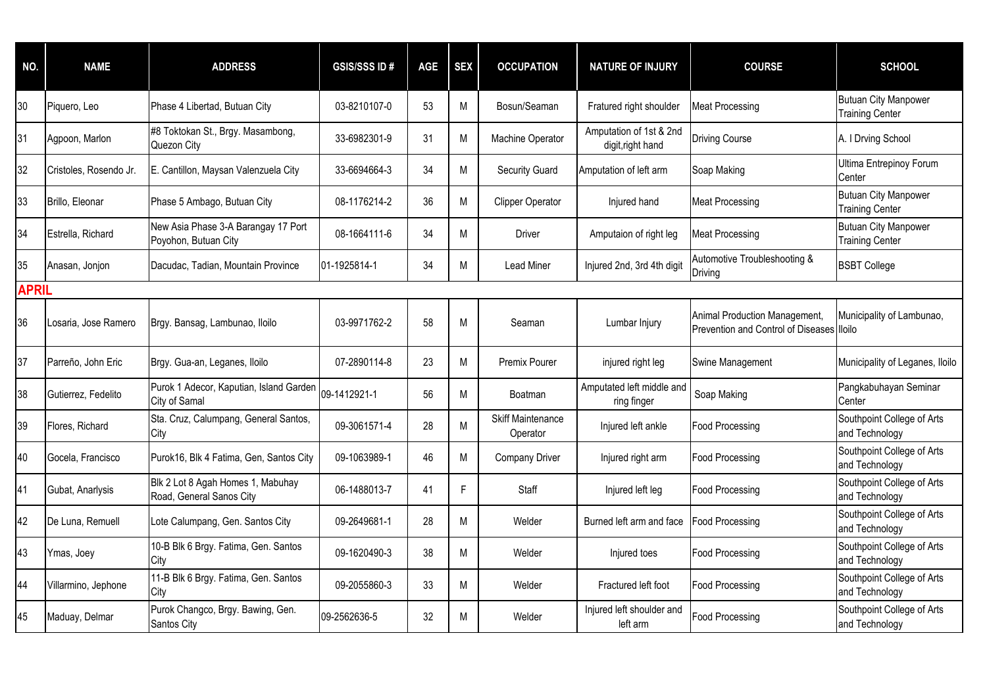| NO.          | <b>NAME</b>            | <b>ADDRESS</b>                                                | <b>GSIS/SSS ID#</b> | <b>AGE</b> | <b>SEX</b> | <b>OCCUPATION</b>                    | <b>NATURE OF INJURY</b>                      | <b>COURSE</b>                                                               | <b>SCHOOL</b>                                         |
|--------------|------------------------|---------------------------------------------------------------|---------------------|------------|------------|--------------------------------------|----------------------------------------------|-----------------------------------------------------------------------------|-------------------------------------------------------|
| 30           | Piquero, Leo           | Phase 4 Libertad, Butuan City                                 | 03-8210107-0        | 53         | М          | Bosun/Seaman                         | Fratured right shoulder                      | <b>Meat Processing</b>                                                      | <b>Butuan City Manpower</b><br><b>Training Center</b> |
| 31           | Agpoon, Marlon         | #8 Toktokan St., Brgy. Masambong,<br>Quezon City              | 33-6982301-9        | 31         | M          | Machine Operator                     | Amputation of 1st & 2nd<br>digit, right hand | <b>Driving Course</b>                                                       | A. I Drving School                                    |
| 32           | Cristoles, Rosendo Jr. | E. Cantillon, Maysan Valenzuela City                          | 33-6694664-3        | 34         | M          | Security Guard                       | Amputation of left arm                       | Soap Making                                                                 | Ultima Entrepinoy Forum<br>Center                     |
| 33           | Brillo, Eleonar        | Phase 5 Ambago, Butuan City                                   | 08-1176214-2        | 36         | M          | <b>Clipper Operator</b>              | Injured hand                                 | <b>Meat Processing</b>                                                      | <b>Butuan City Manpower</b><br><b>Training Center</b> |
| 34           | Estrella, Richard      | New Asia Phase 3-A Barangay 17 Port<br>Poyohon, Butuan City   | 08-1664111-6        | 34         | M          | Driver                               | Amputaion of right leg                       | Meat Processing                                                             | <b>Butuan City Manpower</b><br><b>Training Center</b> |
| 35           | Anasan, Jonjon         | Dacudac, Tadian, Mountain Province                            | 01-1925814-1        | 34         | M          | <b>Lead Miner</b>                    | Injured 2nd, 3rd 4th digit                   | Automotive Troubleshooting &<br>Driving                                     | <b>BSBT College</b>                                   |
| <b>APRIL</b> |                        |                                                               |                     |            |            |                                      |                                              |                                                                             |                                                       |
| 36           | Losaria, Jose Ramero   | Brgy. Bansag, Lambunao, Iloilo                                | 03-9971762-2        | 58         | M          | Seaman                               | Lumbar Injury                                | Animal Production Management,<br>Prevention and Control of Diseases Illoilo | Municipality of Lambunao,                             |
| 37           | Parreño, John Eric     | Brgy. Gua-an, Leganes, Iloilo                                 | 07-2890114-8        | 23         | M          | <b>Premix Pourer</b>                 | injured right leg                            | Swine Management                                                            | Municipality of Leganes, Iloilo                       |
| 38           | Gutierrez, Fedelito    | Purok 1 Adecor, Kaputian, Island Garden<br>City of Samal      | 09-1412921-1        | 56         | M          | Boatman                              | Amputated left middle and<br>ring finger     | Soap Making                                                                 | Pangkabuhayan Seminar<br>Center                       |
| 39           | Flores, Richard        | Sta. Cruz, Calumpang, General Santos,<br>City                 | 09-3061571-4        | 28         | M          | <b>Skiff Maintenance</b><br>Operator | Injured left ankle                           | <b>Food Processing</b>                                                      | Southpoint College of Arts<br>and Technology          |
| 40           | Gocela, Francisco      | Purok16, Blk 4 Fatima, Gen, Santos City                       | 09-1063989-1        | 46         | M          | <b>Company Driver</b>                | Injured right arm                            | <b>Food Processing</b>                                                      | Southpoint College of Arts<br>and Technology          |
| 41           | Gubat, Anarlysis       | Blk 2 Lot 8 Agah Homes 1, Mabuhay<br>Road, General Sanos City | 06-1488013-7        | 41         | F          | Staff                                | Injured left leg                             | <b>Food Processing</b>                                                      | Southpoint College of Arts<br>and Technology          |
| 42           | De Luna, Remuell       | Lote Calumpang, Gen. Santos City                              | 09-2649681-1        | 28         | M          | Welder                               | Burned left arm and face                     | <b>Food Processing</b>                                                      | Southpoint College of Arts<br>and Technology          |
| 43           | Ymas, Joey             | 10-B Blk 6 Brgy. Fatima, Gen. Santos<br>City                  | 09-1620490-3        | 38         | M          | Welder                               | Injured toes                                 | <b>Food Processing</b>                                                      | Southpoint College of Arts<br>and Technology          |
| 44           | Villarmino, Jephone    | 11-B Blk 6 Brgy. Fatima, Gen. Santos<br>City                  | 09-2055860-3        | 33         | M          | Welder                               | Fractured left foot                          | <b>Food Processing</b>                                                      | Southpoint College of Arts<br>and Technology          |
| 45           | Maduay, Delmar         | Purok Changco, Brgy. Bawing, Gen.<br><b>Santos City</b>       | 09-2562636-5        | 32         | M          | Welder                               | Injured left shoulder and<br>left arm        | <b>Food Processing</b>                                                      | Southpoint College of Arts<br>and Technology          |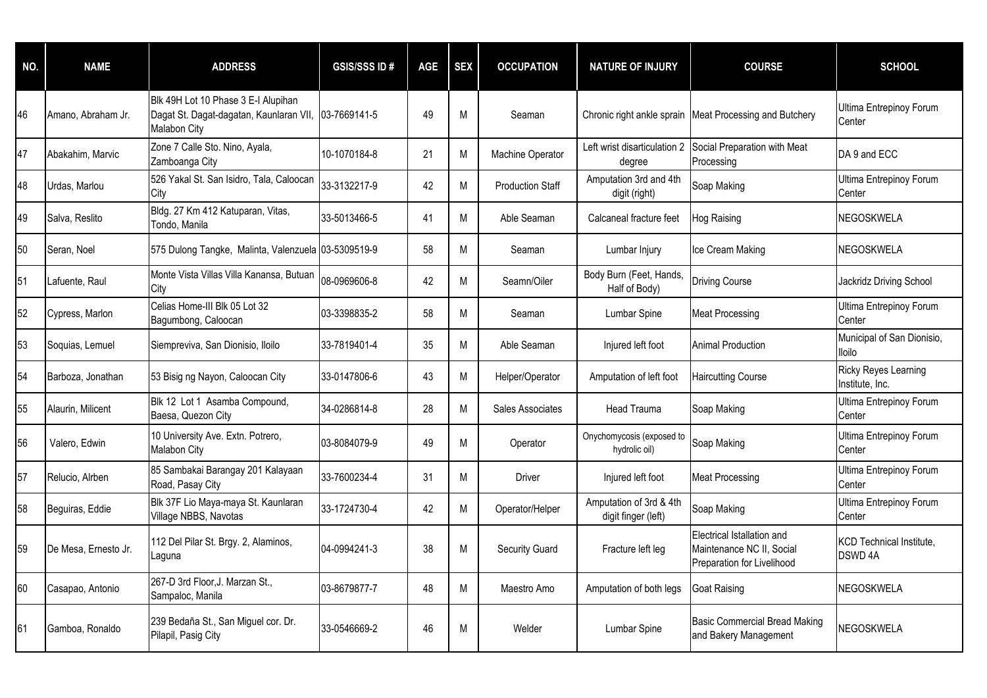| NO. | <b>NAME</b>          | <b>ADDRESS</b>                                                                                              | <b>GSIS/SSS ID#</b> | <b>AGE</b> | <b>SEX</b> | <b>OCCUPATION</b>       | <b>NATURE OF INJURY</b>                        | <b>COURSE</b>                                                                         | <b>SCHOOL</b>                                  |
|-----|----------------------|-------------------------------------------------------------------------------------------------------------|---------------------|------------|------------|-------------------------|------------------------------------------------|---------------------------------------------------------------------------------------|------------------------------------------------|
| 46  | Amano, Abraham Jr.   | Blk 49H Lot 10 Phase 3 E-I Alupihan<br>Dagat St. Dagat-dagatan, Kaunlaran VII, 03-7669141-5<br>Malabon City |                     | 49         | M          | Seaman                  |                                                | Chronic right ankle sprain Meat Processing and Butchery                               | Ultima Entrepinoy Forum<br>Center              |
| 47  | Abakahim, Marvic     | Zone 7 Calle Sto. Nino, Ayala,<br>Zamboanga City                                                            | 10-1070184-8        | 21         | M          | Machine Operator        | Left wrist disarticulation 2<br>degree         | Social Preparation with Meat<br>Processing                                            | DA 9 and ECC                                   |
| 48  | Urdas, Marlou        | 526 Yakal St. San Isidro, Tala, Caloocan<br>City                                                            | 33-3132217-9        | 42         | M          | <b>Production Staff</b> | Amputation 3rd and 4th<br>digit (right)        | Soap Making                                                                           | Ultima Entrepinoy Forum<br>Center              |
| 49  | Salva, Reslito       | Bldg. 27 Km 412 Katuparan, Vitas,<br>Tondo, Manila                                                          | 33-5013466-5        | 41         | M          | Able Seaman             | Calcaneal fracture feet                        | <b>Hog Raising</b>                                                                    | NEGOSKWELA                                     |
| 50  | Seran, Noel          | 575 Dulong Tangke, Malinta, Valenzuela 03-5309519-9                                                         |                     | 58         | М          | Seaman                  | Lumbar Injury                                  | Ice Cream Making                                                                      | NEGOSKWELA                                     |
| 51  | Lafuente, Raul       | Monte Vista Villas Villa Kanansa, Butuan<br>City                                                            | 08-0969606-8        | 42         | M          | Seamn/Oiler             | Body Burn (Feet, Hands,<br>Half of Body)       | <b>Driving Course</b>                                                                 | Jackridz Driving School                        |
| 52  | Cypress, Marlon      | Celias Home-III Blk 05 Lot 32<br>Bagumbong, Caloocan                                                        | 03-3398835-2        | 58         | M          | Seaman                  | Lumbar Spine                                   | <b>Meat Processing</b>                                                                | <b>Ultima Entrepinoy Forum</b><br>Center       |
| 53  | Soquias, Lemuel      | Siempreviva, San Dionisio, Iloilo                                                                           | 33-7819401-4        | 35         | M          | Able Seaman             | Injured left foot                              | <b>Animal Production</b>                                                              | Municipal of San Dionisio,<br><b>Iloilo</b>    |
| 54  | Barboza, Jonathan    | 53 Bisig ng Nayon, Caloocan City                                                                            | 33-0147806-6        | 43         | M          | Helper/Operator         | Amputation of left foot                        | <b>Haircutting Course</b>                                                             | <b>Ricky Reyes Learning</b><br>Institute, Inc. |
| 55  | Alaurin, Milicent    | Blk 12 Lot 1 Asamba Compound,<br>Baesa, Quezon City                                                         | 34-0286814-8        | 28         | M          | Sales Associates        | <b>Head Trauma</b>                             | Soap Making                                                                           | Ultima Entrepinoy Forum<br>Center              |
| 56  | Valero, Edwin        | 10 University Ave. Extn. Potrero,<br>Malabon City                                                           | 03-8084079-9        | 49         | M          | Operator                | Onychomycosis (exposed to<br>hydrolic oil)     | Soap Making                                                                           | Ultima Entrepinoy Forum<br>Center              |
| 57  | Relucio, Alrben      | 85 Sambakai Barangay 201 Kalayaan<br>Road, Pasay City                                                       | 33-7600234-4        | 31         | M          | Driver                  | Injured left foot                              | <b>Meat Processing</b>                                                                | Ultima Entrepinoy Forum<br>Center              |
| 58  | Beguiras, Eddie      | Blk 37F Lio Maya-maya St. Kaunlaran<br>Village NBBS, Navotas                                                | 33-1724730-4        | 42         | M          | Operator/Helper         | Amputation of 3rd & 4th<br>digit finger (left) | Soap Making                                                                           | Ultima Entrepinoy Forum<br>Center              |
| 59  | De Mesa, Ernesto Jr. | 112 Del Pilar St. Brgy. 2, Alaminos,<br>Laguna                                                              | 04-0994241-3        | 38         | M          | <b>Security Guard</b>   | Fracture left leg                              | Electrical Istallation and<br>Maintenance NC II, Social<br>Preparation for Livelihood | KCD Technical Institute,<br>DSWD 4A            |
| 60  | Casapao, Antonio     | 267-D 3rd Floor, J. Marzan St.,<br>Sampaloc, Manila                                                         | 03-8679877-7        | 48         | M          | Maestro Amo             | Amputation of both legs                        | <b>Goat Raising</b>                                                                   | NEGOSKWELA                                     |
| 61  | Gamboa, Ronaldo      | 239 Bedaña St., San Miguel cor. Dr.<br>Pilapil, Pasig City                                                  | 33-0546669-2        | 46         | M          | Welder                  | Lumbar Spine                                   | <b>Basic Commercial Bread Making</b><br>and Bakery Management                         | NEGOSKWELA                                     |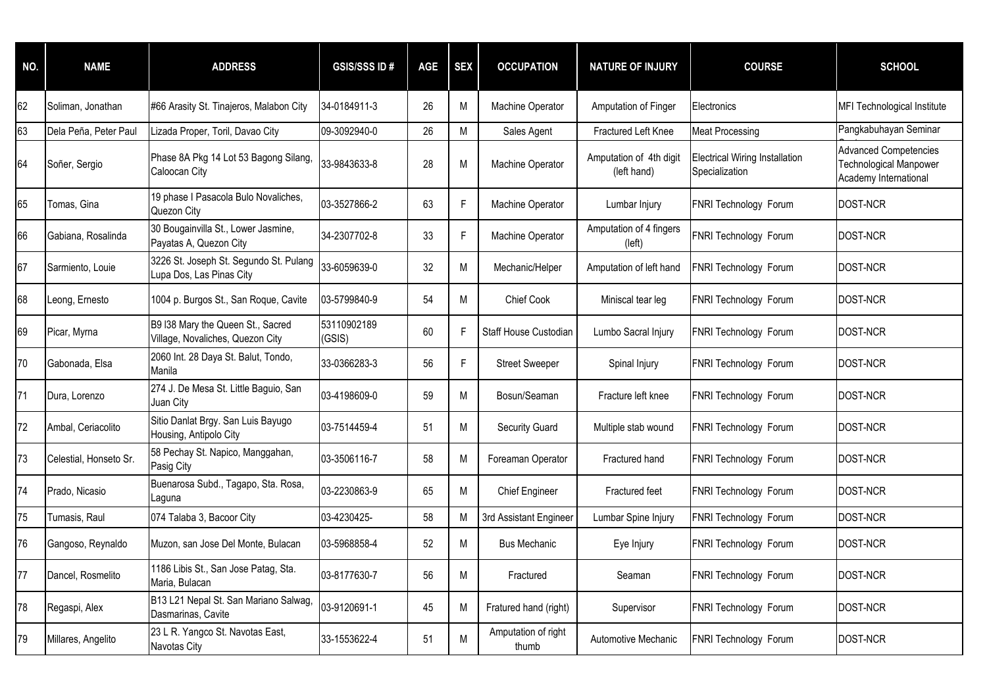| NO. | <b>NAME</b>            | <b>ADDRESS</b>                                                        | <b>GSIS/SSS ID#</b>   | <b>AGE</b> | <b>SEX</b> | <b>OCCUPATION</b>            | <b>NATURE OF INJURY</b>                | <b>COURSE</b>                                           | <b>SCHOOL</b>                                                                   |
|-----|------------------------|-----------------------------------------------------------------------|-----------------------|------------|------------|------------------------------|----------------------------------------|---------------------------------------------------------|---------------------------------------------------------------------------------|
| 62  | Soliman, Jonathan      | #66 Arasity St. Tinajeros, Malabon City                               | 34-0184911-3          | 26         | M          | Machine Operator             | Amputation of Finger                   | Electronics                                             | <b>MFI Technological Institute</b>                                              |
| 63  | Dela Peña, Peter Paul  | Lizada Proper, Toril, Davao City                                      | 09-3092940-0          | 26         | Μ          | Sales Agent                  | Fractured Left Knee                    | <b>Meat Processing</b>                                  | Pangkabuhayan Seminar                                                           |
| 64  | Soñer, Sergio          | Phase 8A Pkg 14 Lot 53 Bagong Silang,<br>Caloocan City                | 33-9843633-8          | 28         | M          | Machine Operator             | Amputation of 4th digit<br>(left hand) | <b>Electrical Wiring Installation</b><br>Specialization | <b>Advanced Competencies</b><br>Technological Manpower<br>Academy International |
| 65  | Tomas, Gina            | 19 phase I Pasacola Bulo Novaliches,<br>Quezon City                   | 03-3527866-2          | 63         | F          | Machine Operator             | Lumbar Injury                          | FNRI Technology Forum                                   | <b>DOST-NCR</b>                                                                 |
| 66  | Gabiana, Rosalinda     | 30 Bougainvilla St., Lower Jasmine,<br>Payatas A, Quezon City         | 34-2307702-8          | 33         | F          | Machine Operator             | Amputation of 4 fingers<br>(left)      | FNRI Technology Forum                                   | <b>DOST-NCR</b>                                                                 |
| 67  | Sarmiento, Louie       | 3226 St. Joseph St. Segundo St. Pulang<br>Lupa Dos, Las Pinas City    | 33-6059639-0          | 32         | M          | Mechanic/Helper              | Amputation of left hand                | FNRI Technology Forum                                   | DOST-NCR                                                                        |
| 68  | Leong, Ernesto         | 1004 p. Burgos St., San Roque, Cavite                                 | 03-5799840-9          | 54         | M          | Chief Cook                   | Miniscal tear leg                      | FNRI Technology Forum                                   | <b>DOST-NCR</b>                                                                 |
| 69  | Picar, Myrna           | B9 I38 Mary the Queen St., Sacred<br>Village, Novaliches, Quezon City | 53110902189<br>(GSIS) | 60         | F          | Staff House Custodian        | Lumbo Sacral Injury                    | FNRI Technology Forum                                   | <b>DOST-NCR</b>                                                                 |
| 70  | Gabonada, Elsa         | 2060 Int. 28 Daya St. Balut, Tondo,<br>Manila                         | 33-0366283-3          | 56         | F          | <b>Street Sweeper</b>        | Spinal Injury                          | FNRI Technology Forum                                   | DOST-NCR                                                                        |
| 71  | Dura, Lorenzo          | 274 J. De Mesa St. Little Baguio, San<br>Juan City                    | 03-4198609-0          | 59         | M          | Bosun/Seaman                 | Fracture left knee                     | FNRI Technology Forum                                   | DOST-NCR                                                                        |
| 72  | Ambal, Ceriacolito     | Sitio Danlat Brgy. San Luis Bayugo<br>Housing, Antipolo City          | 03-7514459-4          | 51         | M          | <b>Security Guard</b>        | Multiple stab wound                    | FNRI Technology Forum                                   | DOST-NCR                                                                        |
| 73  | Celestial, Honseto Sr. | 58 Pechay St. Napico, Manggahan,<br>Pasig City                        | 03-3506116-7          | 58         | M          | Foreaman Operator            | Fractured hand                         | FNRI Technology Forum                                   | <b>DOST-NCR</b>                                                                 |
| 74  | Prado, Nicasio         | Buenarosa Subd., Tagapo, Sta. Rosa,<br>Laguna                         | 03-2230863-9          | 65         | M          | <b>Chief Engineer</b>        | Fractured feet                         | FNRI Technology Forum                                   | DOST-NCR                                                                        |
| 75  | Tumasis, Raul          | 074 Talaba 3, Bacoor City                                             | 03-4230425-           | 58         | M          | 3rd Assistant Engineer       | Lumbar Spine Injury                    | FNRI Technology Forum                                   | DOST-NCR                                                                        |
| 76  | Gangoso, Reynaldo      | Muzon, san Jose Del Monte, Bulacan                                    | 03-5968858-4          | 52         | M          | <b>Bus Mechanic</b>          | Eye Injury                             | FNRI Technology Forum                                   | DOST-NCR                                                                        |
| 77  | Dancel, Rosmelito      | 1186 Libis St., San Jose Patag, Sta.<br>Maria, Bulacan                | 03-8177630-7          | 56         | M          | Fractured                    | Seaman                                 | FNRI Technology Forum                                   | DOST-NCR                                                                        |
| 78  | Regaspi, Alex          | B13 L21 Nepal St. San Mariano Salwag,<br>Dasmarinas, Cavite           | 03-9120691-1          | 45         | M          | Fratured hand (right)        | Supervisor                             | FNRI Technology Forum                                   | DOST-NCR                                                                        |
| 79  | Millares, Angelito     | 23 L R. Yangco St. Navotas East,<br>Navotas City                      | 33-1553622-4          | 51         | M          | Amputation of right<br>thumb | Automotive Mechanic                    | FNRI Technology Forum                                   | DOST-NCR                                                                        |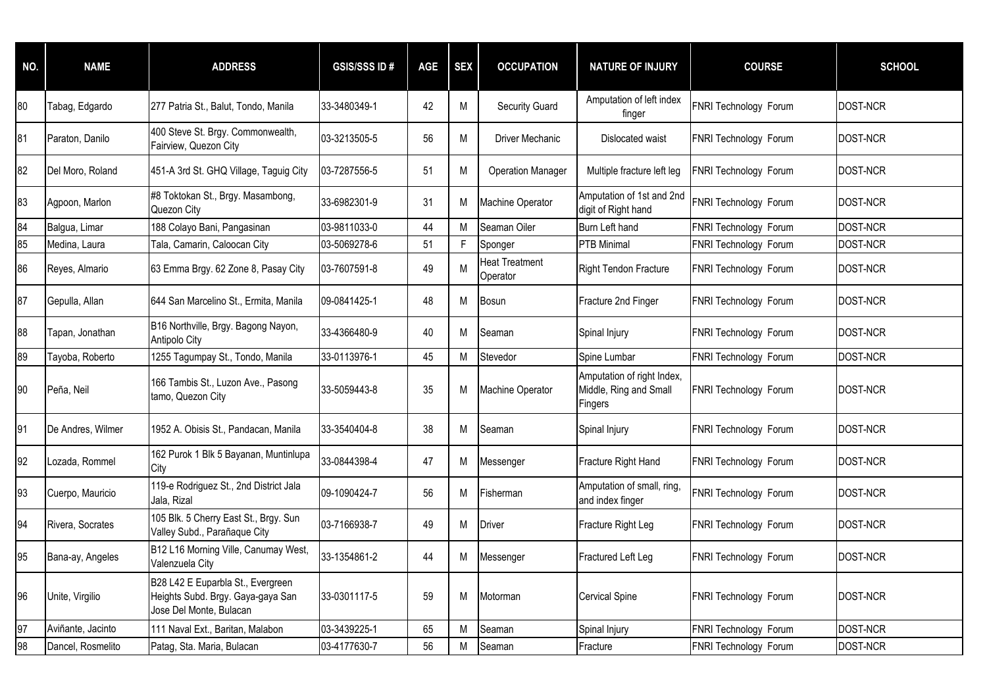| NO. | <b>NAME</b>       | <b>ADDRESS</b>                                                                                    | <b>GSIS/SSS ID#</b> | <b>AGE</b> | <b>SEX</b> | <b>OCCUPATION</b>                 | <b>NATURE OF INJURY</b>                                         | <b>COURSE</b>         | <b>SCHOOL</b>   |
|-----|-------------------|---------------------------------------------------------------------------------------------------|---------------------|------------|------------|-----------------------------------|-----------------------------------------------------------------|-----------------------|-----------------|
| 80  | Tabag, Edgardo    | 277 Patria St., Balut, Tondo, Manila                                                              | 33-3480349-1        | 42         | M          | <b>Security Guard</b>             | Amputation of left index<br>finger                              | FNRI Technology Forum | <b>DOST-NCR</b> |
| 81  | Paraton, Danilo   | 400 Steve St. Brgy. Commonwealth,<br>Fairview, Quezon City                                        | 03-3213505-5        | 56         | M          | Driver Mechanic                   | Dislocated waist                                                | FNRI Technology Forum | <b>DOST-NCR</b> |
| 82  | Del Moro, Roland  | 451-A 3rd St. GHQ Village, Taguig City                                                            | 03-7287556-5        | 51         | M          | <b>Operation Manager</b>          | Multiple fracture left leg                                      | FNRI Technology Forum | <b>DOST-NCR</b> |
| 83  | Agpoon, Marlon    | #8 Toktokan St., Brgy. Masambong,<br>Quezon City                                                  | 33-6982301-9        | 31         | M          | Machine Operator                  | Amputation of 1st and 2nd<br>digit of Right hand                | FNRI Technology Forum | <b>DOST-NCR</b> |
| 84  | Balgua, Limar     | 188 Colayo Bani, Pangasinan                                                                       | 03-9811033-0        | 44         | M          | Seaman Oiler                      | Burn Left hand                                                  | FNRI Technology Forum | <b>DOST-NCR</b> |
| 85  | Medina, Laura     | Tala, Camarin, Caloocan City                                                                      | 03-5069278-6        | 51         | F          | Sponger                           | <b>PTB</b> Minimal                                              | FNRI Technology Forum | DOST-NCR        |
| 86  | Reyes, Almario    | 63 Emma Brgy. 62 Zone 8, Pasay City                                                               | 03-7607591-8        | 49         | M          | <b>Heat Treatment</b><br>Operator | <b>Right Tendon Fracture</b>                                    | FNRI Technology Forum | <b>DOST-NCR</b> |
| 87  | Gepulla, Allan    | 644 San Marcelino St., Ermita, Manila                                                             | 09-0841425-1        | 48         | M          | <b>Bosun</b>                      | Fracture 2nd Finger                                             | FNRI Technology Forum | <b>DOST-NCR</b> |
| 88  | Tapan, Jonathan   | B16 Northville, Brgy. Bagong Nayon,<br>Antipolo City                                              | 33-4366480-9        | 40         | M          | Seaman                            | Spinal Injury                                                   | FNRI Technology Forum | <b>DOST-NCR</b> |
| 89  | Tayoba, Roberto   | 1255 Tagumpay St., Tondo, Manila                                                                  | 33-0113976-1        | 45         | M          | Stevedor                          | Spine Lumbar                                                    | FNRI Technology Forum | <b>DOST-NCR</b> |
| 90  | Peña, Neil        | 166 Tambis St., Luzon Ave., Pasong<br>tamo, Quezon City                                           | 33-5059443-8        | 35         | M          | <b>Machine Operator</b>           | Amputation of right Index,<br>Middle, Ring and Small<br>Fingers | FNRI Technology Forum | <b>DOST-NCR</b> |
| 91  | De Andres, Wilmer | 1952 A. Obisis St., Pandacan, Manila                                                              | 33-3540404-8        | 38         | M          | Seaman                            | Spinal Injury                                                   | FNRI Technology Forum | <b>DOST-NCR</b> |
| 92  | Lozada, Rommel    | 162 Purok 1 Blk 5 Bayanan, Muntinlupa<br>City                                                     | 33-0844398-4        | 47         | M          | Messenger                         | Fracture Right Hand                                             | FNRI Technology Forum | <b>DOST-NCR</b> |
| 93  | Cuerpo, Mauricio  | 119-e Rodriguez St., 2nd District Jala<br>Jala, Rizal                                             | 09-1090424-7        | 56         | M          | Fisherman                         | Amputation of small, ring,<br>and index finger                  | FNRI Technology Forum | DOST-NCR        |
| 94  | Rivera, Socrates  | 105 Blk. 5 Cherry East St., Brgy. Sun<br>Valley Subd., Parañaque City                             | 03-7166938-7        | 49         | М          | <b>Driver</b>                     | Fracture Right Leg                                              | FNRI Technology Forum | <b>DOST-NCR</b> |
| 95  | Bana-ay, Angeles  | B12 L16 Morning Ville, Canumay West,<br>Valenzuela City                                           | 33-1354861-2        | 44         | М          | Messenger                         | Fractured Left Leg                                              | FNRI Technology Forum | <b>DOST-NCR</b> |
| 96  | Unite, Virgilio   | B28 L42 E Euparbla St., Evergreen<br>Heights Subd. Brgy. Gaya-gaya San<br>Jose Del Monte, Bulacan | 33-0301117-5        | 59         | M          | Motorman                          | <b>Cervical Spine</b>                                           | FNRI Technology Forum | DOST-NCR        |
| 97  | Aviñante, Jacinto | 111 Naval Ext., Baritan, Malabon                                                                  | 03-3439225-1        | 65         | M          | Seaman                            | Spinal Injury                                                   | FNRI Technology Forum | DOST-NCR        |
| 98  | Dancel, Rosmelito | Patag, Sta. Maria, Bulacan                                                                        | 03-4177630-7        | 56         | M          | Seaman                            | Fracture                                                        | FNRI Technology Forum | DOST-NCR        |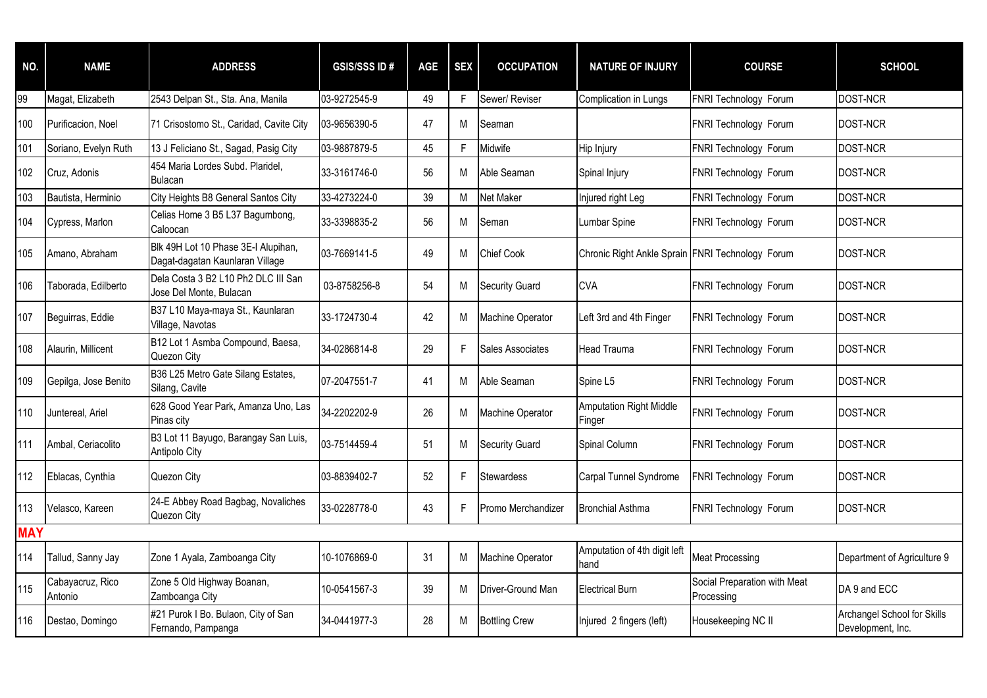| NO.        | <b>NAME</b>                 | <b>ADDRESS</b>                                                         | <b>GSIS/SSS ID#</b> | <b>AGE</b> | <b>SEX</b> | <b>OCCUPATION</b>       | <b>NATURE OF INJURY</b>                          | <b>COURSE</b>                              | <b>SCHOOL</b>                                    |
|------------|-----------------------------|------------------------------------------------------------------------|---------------------|------------|------------|-------------------------|--------------------------------------------------|--------------------------------------------|--------------------------------------------------|
| 99         | Magat, Elizabeth            | 2543 Delpan St., Sta. Ana, Manila                                      | 03-9272545-9        | 49         | F.         | Sewer/ Reviser          | Complication in Lungs                            | FNRI Technology Forum                      | <b>DOST-NCR</b>                                  |
| 100        | Purificacion, Noel          | 71 Crisostomo St., Caridad, Cavite City                                | 03-9656390-5        | 47         | M          | Seaman                  |                                                  | FNRI Technology Forum                      | <b>DOST-NCR</b>                                  |
| 101        | Soriano, Evelyn Ruth        | 13 J Feliciano St., Sagad, Pasig City                                  | 03-9887879-5        | 45         | F          | Midwife                 | Hip Injury                                       | FNRI Technology Forum                      | <b>DOST-NCR</b>                                  |
| 102        | Cruz, Adonis                | 454 Maria Lordes Subd. Plaridel,<br><b>Bulacan</b>                     | 33-3161746-0        | 56         | M          | Able Seaman             | Spinal Injury                                    | FNRI Technology Forum                      | DOST-NCR                                         |
| 103        | Bautista, Herminio          | City Heights B8 General Santos City                                    | 33-4273224-0        | 39         | M          | Net Maker               | Injured right Leg                                | FNRI Technology Forum                      | DOST-NCR                                         |
| 104        | Cypress, Marlon             | Celias Home 3 B5 L37 Bagumbong,<br>Caloocan                            | 33-3398835-2        | 56         | M          | Seman                   | Lumbar Spine                                     | FNRI Technology Forum                      | DOST-NCR                                         |
| 105        | Amano, Abraham              | Blk 49H Lot 10 Phase 3E-I Alupihan,<br>Dagat-dagatan Kaunlaran Village | 03-7669141-5        | 49         | M          | <b>Chief Cook</b>       | Chronic Right Ankle Sprain FNRI Technology Forum |                                            | <b>DOST-NCR</b>                                  |
| 106        | Taborada, Edilberto         | Dela Costa 3 B2 L10 Ph2 DLC III San<br>Jose Del Monte, Bulacan         | 03-8758256-8        | 54         | M          | <b>Security Guard</b>   | <b>CVA</b>                                       | FNRI Technology Forum                      | <b>DOST-NCR</b>                                  |
| 107        | Beguirras, Eddie            | B37 L10 Maya-maya St., Kaunlaran<br>Village, Navotas                   | 33-1724730-4        | 42         | M          | <b>Machine Operator</b> | Left 3rd and 4th Finger                          | FNRI Technology Forum                      | DOST-NCR                                         |
| 108        | Alaurin, Millicent          | B12 Lot 1 Asmba Compound, Baesa,<br>Quezon City                        | 34-0286814-8        | 29         | F          | Sales Associates        | Head Trauma                                      | FNRI Technology Forum                      | <b>DOST-NCR</b>                                  |
| 109        | Gepilga, Jose Benito        | B36 L25 Metro Gate Silang Estates,<br>Silang, Cavite                   | 07-2047551-7        | 41         | M          | Able Seaman             | Spine L5                                         | FNRI Technology Forum                      | <b>DOST-NCR</b>                                  |
| 110        | Juntereal. Ariel            | 628 Good Year Park, Amanza Uno, Las<br>Pinas city                      | 34-2202202-9        | 26         | M          | <b>Machine Operator</b> | <b>Amputation Right Middle</b><br>Finger         | FNRI Technology Forum                      | <b>DOST-NCR</b>                                  |
| 111        | Ambal, Ceriacolito          | B3 Lot 11 Bayugo, Barangay San Luis,<br>Antipolo City                  | 03-7514459-4        | 51         | M          | <b>Security Guard</b>   | Spinal Column                                    | FNRI Technology Forum                      | <b>DOST-NCR</b>                                  |
| 112        | Eblacas, Cynthia            | Quezon City                                                            | 03-8839402-7        | 52         | F          | <b>Stewardess</b>       | Carpal Tunnel Syndrome                           | FNRI Technology Forum                      | <b>DOST-NCR</b>                                  |
| 113        | Velasco, Kareen             | 24-E Abbey Road Bagbag, Novaliches<br>Quezon City                      | 33-0228778-0        | 43         | F          | Promo Merchandizer      | <b>Bronchial Asthma</b>                          | FNRI Technology Forum                      | <b>DOST-NCR</b>                                  |
| <b>MAY</b> |                             |                                                                        |                     |            |            |                         |                                                  |                                            |                                                  |
| 114        | Tallud, Sanny Jay           | Zone 1 Ayala, Zamboanga City                                           | 10-1076869-0        | 31         | M          | Machine Operator        | Amputation of 4th digit left<br>hand             | <b>Meat Processing</b>                     | Department of Agriculture 9                      |
| 115        | Cabayacruz, Rico<br>Antonio | Zone 5 Old Highway Boanan,<br>Zamboanga City                           | 10-0541567-3        | 39         | М          | Driver-Ground Man       | <b>Electrical Burn</b>                           | Social Preparation with Meat<br>Processing | DA 9 and ECC                                     |
| 116        | Destao, Domingo             | #21 Purok I Bo. Bulaon, City of San<br>Fernando, Pampanga              | 34-0441977-3        | 28         | M          | <b>Bottling Crew</b>    | Injured 2 fingers (left)                         | Housekeeping NC II                         | Archangel School for Skills<br>Development, Inc. |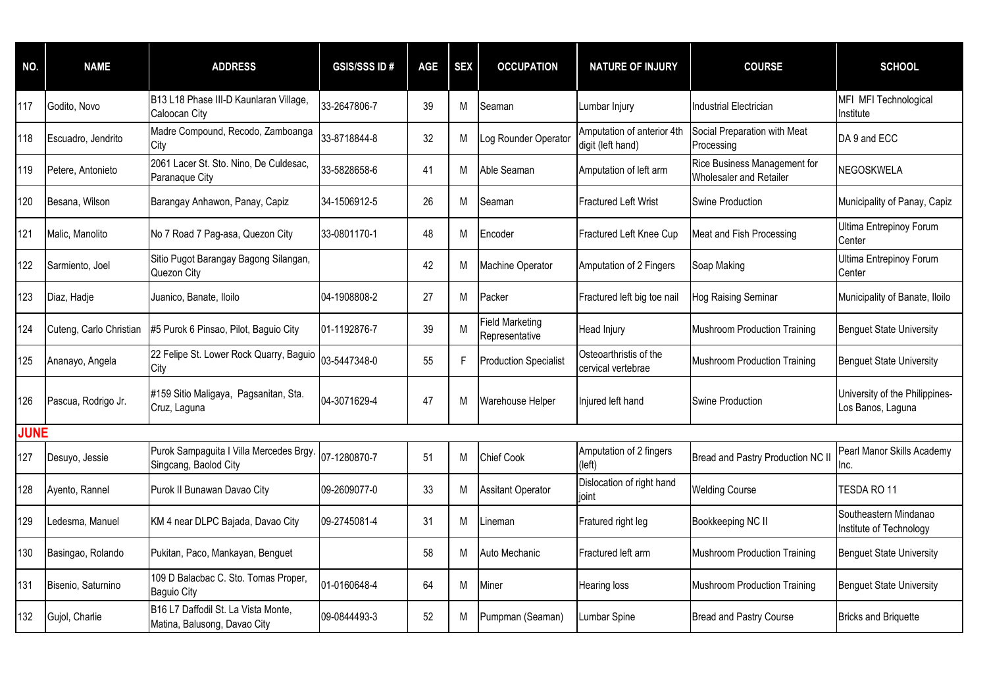| NO.         | <b>NAME</b>             | <b>ADDRESS</b>                                                      | <b>GSIS/SSS ID#</b> | <b>AGE</b> | <b>SEX</b> | <b>OCCUPATION</b>                 | <b>NATURE OF INJURY</b>                         | <b>COURSE</b>                                           | <b>SCHOOL</b>                                       |
|-------------|-------------------------|---------------------------------------------------------------------|---------------------|------------|------------|-----------------------------------|-------------------------------------------------|---------------------------------------------------------|-----------------------------------------------------|
| 117         | Godito, Novo            | B13 L18 Phase III-D Kaunlaran Village,<br>Caloocan City             | 33-2647806-7        | 39         | М          | Seaman                            | Lumbar Injury                                   | Industrial Electrician                                  | MFI MFI Technological<br>Institute                  |
| 118         | Escuadro, Jendrito      | Madre Compound, Recodo, Zamboanga<br>Citv                           | 33-8718844-8        | 32         | M          | Log Rounder Operator              | Amputation of anterior 4th<br>digit (left hand) | Social Preparation with Meat<br>Processing              | DA 9 and ECC                                        |
| 119         | Petere, Antonieto       | 2061 Lacer St. Sto. Nino, De Culdesac,<br>Paranaque City            | 33-5828658-6        | 41         | M          | Able Seaman                       | Amputation of left arm                          | Rice Business Management for<br>Wholesaler and Retailer | NEGOSKWELA                                          |
| 120         | Besana, Wilson          | Barangay Anhawon, Panay, Capiz                                      | 34-1506912-5        | 26         | M          | Seaman                            | Fractured Left Wrist                            | Swine Production                                        | Municipality of Panay, Capiz                        |
| 121         | Malic, Manolito         | No 7 Road 7 Pag-asa, Quezon City                                    | 33-0801170-1        | 48         | M          | Encoder                           | Fractured Left Knee Cup                         | Meat and Fish Processing                                | Ultima Entrepinoy Forum<br>Center                   |
| 122         | Sarmiento, Joel         | Sitio Pugot Barangay Bagong Silangan,<br>Quezon City                |                     | 42         | М          | Machine Operator                  | Amputation of 2 Fingers                         | Soap Making                                             | Ultima Entrepinoy Forum<br>Center                   |
| 123         | Diaz, Hadje             | Juanico, Banate, Iloilo                                             | 04-1908808-2        | 27         | M          | Packer                            | Fractured left big toe nail                     | Hog Raising Seminar                                     | Municipality of Banate, Iloilo                      |
| 124         | Cuteng, Carlo Christian | #5 Purok 6 Pinsao, Pilot, Baguio City                               | 01-1192876-7        | 39         | M          | Field Marketing<br>Representative | Head Injury                                     | <b>Mushroom Production Training</b>                     | <b>Benguet State University</b>                     |
| 125         | Ananayo, Angela         | 22 Felipe St. Lower Rock Quarry, Baguio 03-5447348-0<br>City        |                     | 55         | F          | <b>Production Specialist</b>      | Osteoarthristis of the<br>cervical vertebrae    | <b>Mushroom Production Training</b>                     | <b>Benguet State University</b>                     |
| 126         | Pascua, Rodrigo Jr.     | #159 Sitio Maligaya, Pagsanitan, Sta.<br>Cruz, Laguna               | 04-3071629-4        | 47         | M          | Warehouse Helper                  | Injured left hand                               | <b>Swine Production</b>                                 | University of the Philippines-<br>Los Banos, Laguna |
| <b>JUNE</b> |                         |                                                                     |                     |            |            |                                   |                                                 |                                                         |                                                     |
| 127         | Desuyo, Jessie          | Purok Sampaguita I Villa Mercedes Brgy.<br>Singcang, Baolod City    | 07-1280870-7        | 51         | M          | <b>Chief Cook</b>                 | Amputation of 2 fingers<br>(left)               | Bread and Pastry Production NC II                       | Pearl Manor Skills Academy<br>Inc.                  |
| 128         | Ayento, Rannel          | Purok II Bunawan Davao City                                         | 09-2609077-0        | 33         | М          | <b>Assitant Operator</b>          | Dislocation of right hand<br>ioint              | <b>Welding Course</b>                                   | TESDA RO 11                                         |
| 129         | Ledesma, Manuel         | KM 4 near DLPC Bajada, Davao City                                   | 09-2745081-4        | 31         | M          | .ineman                           | Fratured right leg                              | Bookkeeping NC II                                       | Southeastern Mindanao<br>Institute of Technology    |
| 130         | Basingao, Rolando       | Pukitan, Paco, Mankayan, Benguet                                    |                     | 58         | M          | Auto Mechanic                     | Fractured left arm                              | Mushroom Production Training                            | <b>Benguet State University</b>                     |
| 131         | Bisenio, Saturnino      | 109 D Balacbac C. Sto. Tomas Proper,<br><b>Baguio City</b>          | 01-0160648-4        | 64         | M          | Miner                             | Hearing loss                                    | Mushroom Production Training                            | <b>Benguet State University</b>                     |
| 132         | Gujol, Charlie          | B16 L7 Daffodil St. La Vista Monte,<br>Matina, Balusong, Davao City | 09-0844493-3        | 52         | М          | Pumpman (Seaman)                  | Lumbar Spine                                    | <b>Bread and Pastry Course</b>                          | <b>Bricks and Briquette</b>                         |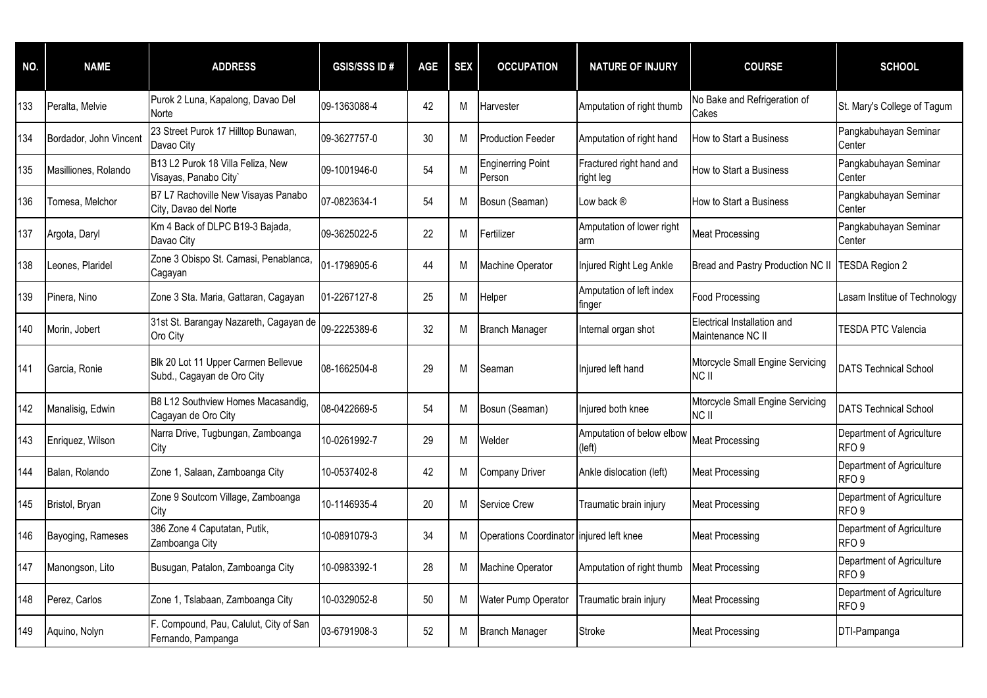| NO. | <b>NAME</b>            | <b>ADDRESS</b>                                                    | <b>GSIS/SSS ID#</b> | <b>AGE</b> | <b>SEX</b> | <b>OCCUPATION</b>                        | <b>NATURE OF INJURY</b>               | <b>COURSE</b>                                    | <b>SCHOOL</b>                                 |
|-----|------------------------|-------------------------------------------------------------------|---------------------|------------|------------|------------------------------------------|---------------------------------------|--------------------------------------------------|-----------------------------------------------|
| 133 | Peralta, Melvie        | Purok 2 Luna, Kapalong, Davao Del<br>Norte                        | 09-1363088-4        | 42         | M          | Harvester                                | Amputation of right thumb             | No Bake and Refrigeration of<br>Cakes            | St. Mary's College of Tagum                   |
| 134 | Bordador, John Vincent | 23 Street Purok 17 Hilltop Bunawan,<br>Davao City                 | 09-3627757-0        | 30         | м          | <b>Production Feeder</b>                 | Amputation of right hand              | How to Start a Business                          | Pangkabuhayan Seminar<br>Center               |
| 135 | Masilliones, Rolando   | B13 L2 Purok 18 Villa Feliza, New<br>Visayas, Panabo City'        | 09-1001946-0        | 54         | M          | <b>Enginerring Point</b><br>Person       | Fractured right hand and<br>right leg | How to Start a Business                          | Pangkabuhayan Seminar<br>Center               |
| 136 | Tomesa, Melchor        | B7 L7 Rachoville New Visayas Panabo<br>City, Davao del Norte      | 07-0823634-1        | 54         | M          | Bosun (Seaman)                           | Low back ®                            | How to Start a Business                          | Pangkabuhayan Seminar<br>Center               |
| 137 | Argota, Daryl          | Km 4 Back of DLPC B19-3 Bajada,<br>Davao City                     | 09-3625022-5        | 22         | M          | Fertilizer                               | Amputation of lower right<br>arm      | <b>Meat Processing</b>                           | Pangkabuhayan Seminar<br>Center               |
| 138 | Leones, Plaridel       | Zone 3 Obispo St. Camasi, Penablanca,<br>Cagayan                  | 01-1798905-6        | 44         | M          | <b>Machine Operator</b>                  | Injured Right Leg Ankle               | Bread and Pastry Production NC II                | TESDA Region 2                                |
| 139 | Pinera, Nino           | Zone 3 Sta. Maria, Gattaran, Cagayan                              | 01-2267127-8        | 25         | М          | Helper                                   | Amputation of left index<br>finger    | <b>Food Processing</b>                           | Lasam Institue of Technology                  |
| 140 | Morin, Jobert          | 31st St. Barangay Nazareth, Cagayan de<br>Oro City                | 09-2225389-6        | 32         | M          | <b>Branch Manager</b>                    | Internal organ shot                   | Electrical Installation and<br>Maintenance NC II | <b>TESDA PTC Valencia</b>                     |
| 141 | Garcia, Ronie          | Blk 20 Lot 11 Upper Carmen Bellevue<br>Subd., Cagayan de Oro City | 08-1662504-8        | 29         | M          | Seaman                                   | njured left hand                      | Mtorcycle Small Engine Servicing<br>NC II        | <b>DATS Technical School</b>                  |
| 142 | Manalisig, Edwin       | B8 L12 Southview Homes Macasandig,<br>Cagayan de Oro City         | 08-0422669-5        | 54         | M          | Bosun (Seaman)                           | Injured both knee                     | Mtorcycle Small Engine Servicing<br><b>NCII</b>  | <b>DATS Technical School</b>                  |
| 143 | Enriquez, Wilson       | Narra Drive, Tugbungan, Zamboanga<br>City                         | 10-0261992-7        | 29         | M          | Welder                                   | Amputation of below elbow<br>(left)   | <b>Meat Processing</b>                           | Department of Agriculture<br>RFO <sub>9</sub> |
| 144 | Balan, Rolando         | Zone 1, Salaan, Zamboanga City                                    | 10-0537402-8        | 42         | м          | <b>Company Driver</b>                    | Ankle dislocation (left)              | <b>Meat Processing</b>                           | Department of Agriculture<br>RFO <sub>9</sub> |
| 145 | Bristol, Bryan         | Zone 9 Soutcom Village, Zamboanga<br>City                         | 10-1146935-4        | 20         | M          | <b>Service Crew</b>                      | Traumatic brain injury                | <b>Meat Processing</b>                           | Department of Agriculture<br>RFO <sub>9</sub> |
| 146 | Bayoging, Rameses      | 386 Zone 4 Caputatan, Putik,<br>Zamboanga City                    | 10-0891079-3        | 34         | М          | Operations Coordinator injured left knee |                                       | <b>Meat Processing</b>                           | Department of Agriculture<br>RFO <sub>9</sub> |
| 147 | Manongson, Lito        | Busugan, Patalon, Zamboanga City                                  | 10-0983392-1        | 28         | М          | Machine Operator                         | Amputation of right thumb             | <b>Meat Processing</b>                           | Department of Agriculture<br>RFO <sub>9</sub> |
| 148 | Perez, Carlos          | Zone 1, Tslabaan, Zamboanga City                                  | 10-0329052-8        | 50         | М          | Water Pump Operator                      | Traumatic brain injury                | <b>Meat Processing</b>                           | Department of Agriculture<br>RFO <sub>9</sub> |
| 149 | Aquino, Nolyn          | F. Compound, Pau, Calulut, City of San<br>Fernando, Pampanga      | 03-6791908-3        | 52         | M          | <b>Branch Manager</b>                    | <b>Stroke</b>                         | <b>Meat Processing</b>                           | DTI-Pampanga                                  |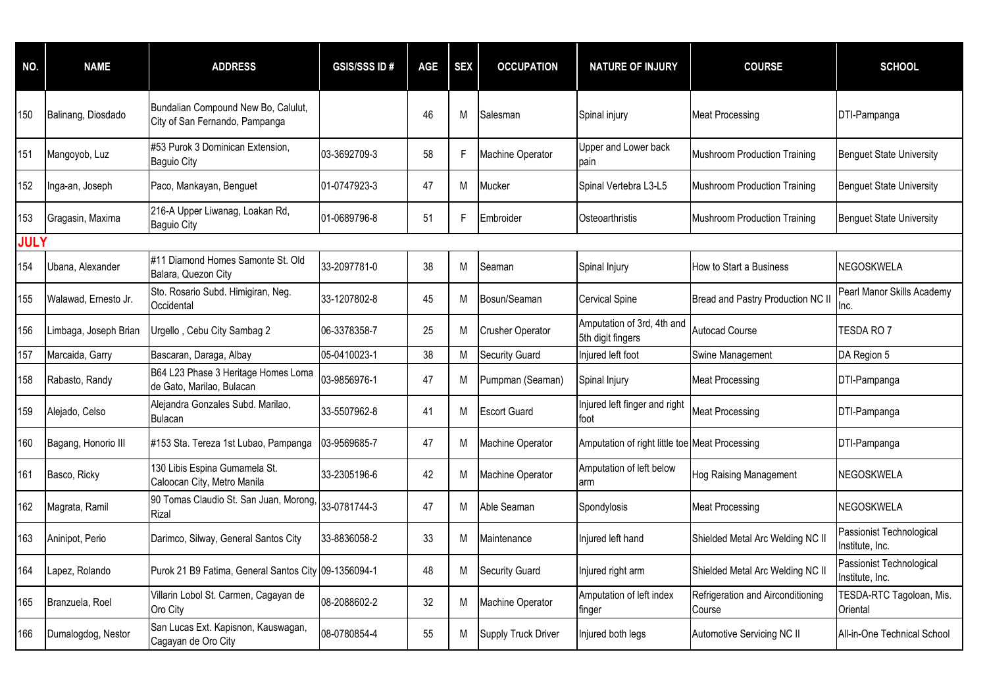| NO.         | <b>NAME</b>           | <b>ADDRESS</b>                                                        | <b>GSIS/SSS ID#</b> | <b>AGE</b> | <b>SEX</b> | <b>OCCUPATION</b>       | <b>NATURE OF INJURY</b>                         | <b>COURSE</b>                               | <b>SCHOOL</b>                               |
|-------------|-----------------------|-----------------------------------------------------------------------|---------------------|------------|------------|-------------------------|-------------------------------------------------|---------------------------------------------|---------------------------------------------|
| 150         | Balinang, Diosdado    | Bundalian Compound New Bo, Calulut,<br>City of San Fernando, Pampanga |                     | 46         | M          | Salesman                | Spinal injury                                   | <b>Meat Processing</b>                      | DTI-Pampanga                                |
| 151         | Mangoyob, Luz         | #53 Purok 3 Dominican Extension,<br><b>Baguio City</b>                | 03-3692709-3        | 58         | F          | Machine Operator        | Upper and Lower back<br>pain                    | <b>Mushroom Production Training</b>         | <b>Benguet State University</b>             |
| 152         | Inga-an, Joseph       | Paco, Mankayan, Benguet                                               | 01-0747923-3        | 47         | M          | Mucker                  | Spinal Vertebra L3-L5                           | <b>Mushroom Production Training</b>         | <b>Benguet State University</b>             |
| 153         | Gragasin, Maxima      | 216-A Upper Liwanag, Loakan Rd,<br><b>Baguio City</b>                 | 01-0689796-8        | 51         | F          | Embroider               | Osteoarthristis                                 | <b>Mushroom Production Training</b>         | <b>Benguet State University</b>             |
| <b>JULY</b> |                       |                                                                       |                     |            |            |                         |                                                 |                                             |                                             |
| 154         | Ubana, Alexander      | #11 Diamond Homes Samonte St. Old<br>Balara, Quezon City              | 33-2097781-0        | 38         | M          | Seaman                  | Spinal Injury                                   | How to Start a Business                     | NEGOSKWELA                                  |
| 155         | Walawad, Ernesto Jr.  | Sto. Rosario Subd. Himigiran, Neg.<br>Occidental                      | 33-1207802-8        | 45         | M          | Bosun/Seaman            | <b>Cervical Spine</b>                           | Bread and Pastry Production NC I            | Pearl Manor Skills Academy<br>Inc.          |
| 156         | Limbaga, Joseph Brian | Urgello, Cebu City Sambag 2                                           | 06-3378358-7        | 25         | M          | <b>Crusher Operator</b> | Amputation of 3rd, 4th and<br>5th digit fingers | <b>Autocad Course</b>                       | TESDA RO <sub>7</sub>                       |
| 157         | Marcaida, Garry       | Bascaran, Daraga, Albay                                               | 05-0410023-1        | 38         | M          | <b>Security Guard</b>   | Injured left foot                               | Swine Management                            | DA Region 5                                 |
| 158         | Rabasto, Randy        | B64 L23 Phase 3 Heritage Homes Loma<br>de Gato, Marilao, Bulacan      | 03-9856976-1        | 47         | M          | Pumpman (Seaman)        | Spinal Injury                                   | <b>Meat Processing</b>                      | DTI-Pampanga                                |
| 159         | Alejado, Celso        | Alejandra Gonzales Subd. Marilao,<br><b>Bulacan</b>                   | 33-5507962-8        | 41         | M          | <b>Escort Guard</b>     | Injured left finger and right<br>foot           | <b>Meat Processing</b>                      | DTI-Pampanga                                |
| 160         | Bagang, Honorio III   | #153 Sta. Tereza 1st Lubao, Pampanga                                  | 03-9569685-7        | 47         | M          | Machine Operator        | Amputation of right little toe Meat Processing  |                                             | DTI-Pampanga                                |
| 161         | Basco, Ricky          | 130 Libis Espina Gumamela St.<br>Caloocan City, Metro Manila          | 33-2305196-6        | 42         | M          | Machine Operator        | Amputation of left below<br>arm                 | Hog Raising Management                      | NEGOSKWELA                                  |
| 162         | Magrata, Ramil        | 90 Tomas Claudio St. San Juan, Morong, 33-0781744-3<br>Rizal          |                     | 47         | M          | Able Seaman             | Spondylosis                                     | <b>Meat Processing</b>                      | NEGOSKWELA                                  |
| 163         | Aninipot, Perio       | Darimco, Silway, General Santos City                                  | 33-8836058-2        | 33         | M          | Maintenance             | Injured left hand                               | Shielded Metal Arc Welding NC II            | Passionist Technological<br>Institute, Inc. |
| 164         | Lapez, Rolando        | Purok 21 B9 Fatima, General Santos City 09-1356094-1                  |                     | 48         | М          | <b>Security Guard</b>   | Injured right arm                               | Shielded Metal Arc Welding NC II            | Passionist Technological<br>Institute, Inc. |
| 165         | Branzuela, Roel       | Villarin Lobol St. Carmen, Cagayan de<br>Oro City                     | 08-2088602-2        | 32         | M          | Machine Operator        | Amputation of left index<br>finger              | Refrigeration and Airconditioning<br>Course | TESDA-RTC Tagoloan, Mis.<br>Oriental        |
| 166         | Dumalogdog, Nestor    | San Lucas Ext. Kapisnon, Kauswagan,<br>Cagayan de Oro City            | 08-0780854-4        | 55         | М          | Supply Truck Driver     | Injured both legs                               | Automotive Servicing NC II                  | All-in-One Technical School                 |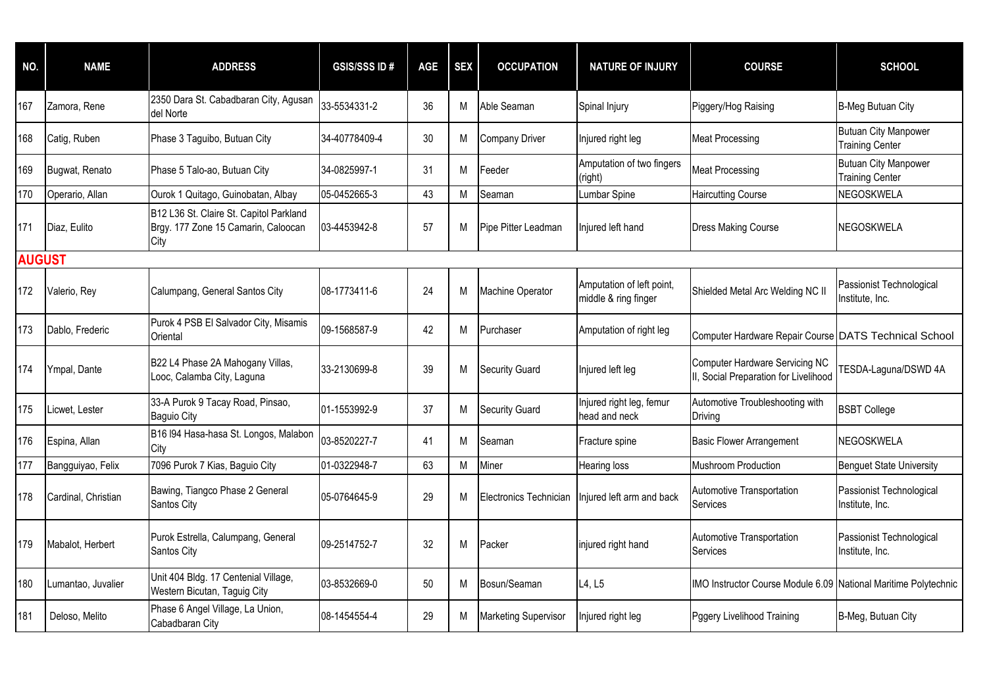| NO.           | <b>NAME</b>         | <b>ADDRESS</b>                                                                         | <b>GSIS/SSS ID#</b> | <b>AGE</b> | <b>SEX</b> | <b>OCCUPATION</b>           | <b>NATURE OF INJURY</b>                           | <b>COURSE</b>                                                                  | <b>SCHOOL</b>                                         |
|---------------|---------------------|----------------------------------------------------------------------------------------|---------------------|------------|------------|-----------------------------|---------------------------------------------------|--------------------------------------------------------------------------------|-------------------------------------------------------|
| 167           | Zamora, Rene        | 2350 Dara St. Cabadbaran City, Agusan<br>del Norte                                     | 33-5534331-2        | 36         | М          | Able Seaman                 | Spinal Injury                                     | Piggery/Hog Raising                                                            | <b>B-Meg Butuan City</b>                              |
| 168           | Catig, Ruben        | Phase 3 Taguibo, Butuan City                                                           | 34-40778409-4       | 30         | М          | <b>Company Driver</b>       | Injured right leg                                 | <b>Meat Processing</b>                                                         | <b>Butuan City Manpower</b><br><b>Training Center</b> |
| 169           | Bugwat, Renato      | Phase 5 Talo-ao, Butuan City                                                           | 34-0825997-1        | 31         | М          | Feeder                      | Amputation of two fingers<br>(right)              | <b>Meat Processing</b>                                                         | <b>Butuan City Manpower</b><br><b>Training Center</b> |
| 170           | Operario, Allan     | Ourok 1 Quitago, Guinobatan, Albay                                                     | 05-0452665-3        | 43         | M          | Seaman                      | Lumbar Spine                                      | <b>Haircutting Course</b>                                                      | NEGOSKWELA                                            |
| 171           | Diaz, Eulito        | B12 L36 St. Claire St. Capitol Parkland<br>Brgy. 177 Zone 15 Camarin, Caloocan<br>City | 03-4453942-8        | 57         | М          | Pipe Pitter Leadman         | Injured left hand                                 | <b>Dress Making Course</b>                                                     | NEGOSKWELA                                            |
| <b>AUGUST</b> |                     |                                                                                        |                     |            |            |                             |                                                   |                                                                                |                                                       |
| 172           | Valerio, Rey        | Calumpang, General Santos City                                                         | 08-1773411-6        | 24         | M          | Machine Operator            | Amputation of left point,<br>middle & ring finger | Shielded Metal Arc Welding NC II                                               | Passionist Technological<br>Institute, Inc.           |
| 173           | Dablo, Frederic     | Purok 4 PSB El Salvador City, Misamis<br>Oriental                                      | 09-1568587-9        | 42         | М          | Purchaser                   | Amputation of right leg                           | Computer Hardware Repair Course DATS Technical School                          |                                                       |
| 174           | Ympal, Dante        | B22 L4 Phase 2A Mahogany Villas,<br>Looc, Calamba City, Laguna                         | 33-2130699-8        | 39         | M          | <b>Security Guard</b>       | Injured left leg                                  | <b>Computer Hardware Servicing NC</b><br>II, Social Preparation for Livelihood | TESDA-Laguna/DSWD 4A                                  |
| 175           | Licwet, Lester      | 33-A Purok 9 Tacay Road, Pinsao,<br><b>Baguio City</b>                                 | 01-1553992-9        | 37         | M          | <b>Security Guard</b>       | Injured right leg, femur<br>head and neck         | Automotive Troubleshooting with<br>Driving                                     | <b>BSBT College</b>                                   |
| 176           | Espina, Allan       | B16 I94 Hasa-hasa St. Longos, Malabon<br>City                                          | 03-8520227-7        | 41         | M          | Seaman                      | Fracture spine                                    | <b>Basic Flower Arrangement</b>                                                | NEGOSKWELA                                            |
| 177           | Bangguiyao, Felix   | 7096 Purok 7 Kias, Baguio City                                                         | 01-0322948-7        | 63         | M          | Miner                       | <b>Hearing loss</b>                               | Mushroom Production                                                            | <b>Benguet State University</b>                       |
| 178           | Cardinal, Christian | Bawing, Tiangco Phase 2 General<br>Santos City                                         | 05-0764645-9        | 29         | M          | Electronics Technician      | Injured left arm and back                         | Automotive Transportation<br>Services                                          | Passionist Technological<br>Institute, Inc.           |
| 179           | Mabalot, Herbert    | Purok Estrella, Calumpang, General<br>Santos City                                      | 09-2514752-7        | 32         | М          | Packer                      | injured right hand                                | Automotive Transportation<br>Services                                          | Passionist Technological<br>Institute, Inc.           |
| 180           | Lumantao, Juvalier  | Unit 404 Bldg. 17 Centenial Village,<br>Western Bicutan, Taguig City                   | 03-8532669-0        | 50         | М          | Bosun/Seaman                | L4, L5                                            | IMO Instructor Course Module 6.09 National Maritime Polytechnic                |                                                       |
| 181           | Deloso, Melito      | Phase 6 Angel Village, La Union,<br>Cabadbaran City                                    | 08-1454554-4        | 29         | М          | <b>Marketing Supervisor</b> | Injured right leg                                 | Pggery Livelihood Training                                                     | B-Meg, Butuan City                                    |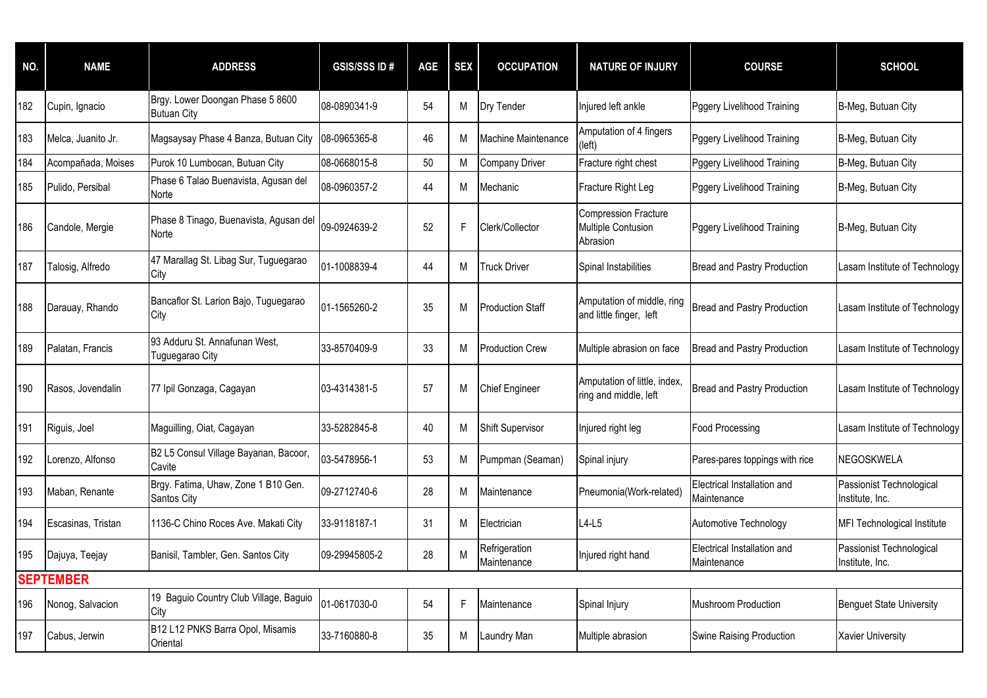| NO. | <b>NAME</b>        | <b>ADDRESS</b>                                         | <b>GSIS/SSS ID#</b> | <b>AGE</b> | <b>SEX</b> | <b>OCCUPATION</b>            | <b>NATURE OF INJURY</b>                                       | <b>COURSE</b>                              | <b>SCHOOL</b>                               |
|-----|--------------------|--------------------------------------------------------|---------------------|------------|------------|------------------------------|---------------------------------------------------------------|--------------------------------------------|---------------------------------------------|
| 182 | Cupin, Ignacio     | Brgy. Lower Doongan Phase 5 8600<br><b>Butuan City</b> | 08-0890341-9        | 54         | M          | Dry Tender                   | Injured left ankle                                            | Pggery Livelihood Training                 | B-Meg, Butuan City                          |
| 183 | Melca, Juanito Jr. | Magsaysay Phase 4 Banza, Butuan City                   | 08-0965365-8        | 46         | M          | Machine Maintenance          | Amputation of 4 fingers<br>(left)                             | Pggery Livelihood Training                 | B-Meg, Butuan City                          |
| 184 | Acompañada, Moises | Purok 10 Lumbocan, Butuan City                         | 08-0668015-8        | 50         | M          | Company Driver               | Fracture right chest                                          | Pggery Livelihood Training                 | B-Meg, Butuan City                          |
| 185 | Pulido, Persibal   | Phase 6 Talao Buenavista, Agusan del<br>Norte          | 08-0960357-2        | 44         | M          | Mechanic                     | Fracture Right Leg                                            | Pggery Livelihood Training                 | B-Meg, Butuan City                          |
| 186 | Candole, Mergie    | Phase 8 Tinago, Buenavista, Agusan del<br>Norte        | 09-0924639-2        | 52         | F          | Clerk/Collector              | <b>Compression Fracture</b><br>Multiple Contusion<br>Abrasion | Pggery Livelihood Training                 | B-Meg, Butuan City                          |
| 187 | Talosig, Alfredo   | 47 Marallag St. Libag Sur, Tuguegarao<br>City          | 01-1008839-4        | 44         | M          | <b>Truck Driver</b>          | Spinal Instabilities                                          | <b>Bread and Pastry Production</b>         | Lasam Institute of Technology               |
| 188 | Darauay, Rhando    | Bancaflor St. Larion Bajo, Tuguegarao<br>City          | 01-1565260-2        | 35         | M          | Production Staff             | Amputation of middle, ring<br>and little finger, left         | <b>Bread and Pastry Production</b>         | Lasam Institute of Technology               |
| 189 | Palatan, Francis   | 93 Adduru St. Annafunan West,<br>Tuguegarao City       | 33-8570409-9        | 33         | M          | Production Crew              | Multiple abrasion on face                                     | <b>Bread and Pastry Production</b>         | Lasam Institute of Technology               |
| 190 | Rasos, Jovendalin  | 77 Ipil Gonzaga, Cagayan                               | 03-4314381-5        | 57         | М          | <b>Chief Engineer</b>        | Amputation of little, index,<br>ring and middle, left         | <b>Bread and Pastry Production</b>         | Lasam Institute of Technology               |
| 191 | Riguis, Joel       | Maguilling, Oiat, Cagayan                              | 33-5282845-8        | 40         | M          | Shift Supervisor             | Injured right leg                                             | <b>Food Processing</b>                     | Lasam Institute of Technology               |
| 192 | Lorenzo, Alfonso   | B2 L5 Consul Village Bayanan, Bacoor,<br>Cavite        | 03-5478956-1        | 53         | М          | Pumpman (Seaman)             | Spinal injury                                                 | Pares-pares toppings with rice             | NEGOSKWELA                                  |
| 193 | Maban, Renante     | Brgy. Fatima, Uhaw, Zone 1 B10 Gen.<br>Santos City     | 09-2712740-6        | 28         | M          | Maintenance                  | Pneumonia(Work-related)                                       | Electrical Installation and<br>Maintenance | Passionist Technological<br>Institute, Inc. |
| 194 | Escasinas, Tristan | 1136-C Chino Roces Ave. Makati City                    | 33-9118187-1        | 31         | M          | Electrician                  | $L4-L5$                                                       | Automotive Technology                      | MFI Technological Institute                 |
| 195 | Dajuya, Teejay     | Banisil, Tambler, Gen. Santos City                     | 09-29945805-2       | 28         | M          | Refrigeration<br>Maintenance | Injured right hand                                            | Electrical Installation and<br>Maintenance | Passionist Technological<br>Institute, Inc. |
|     | <b>SEPTEMBER</b>   |                                                        |                     |            |            |                              |                                                               |                                            |                                             |
| 196 | Nonog, Salvacion   | 19 Baguio Country Club Village, Baguio<br>City         | 01-0617030-0        | 54         | F.         | Maintenance                  | Spinal Injury                                                 | <b>Mushroom Production</b>                 | <b>Benguet State University</b>             |
| 197 | Cabus, Jerwin      | B12 L12 PNKS Barra Opol, Misamis<br>Oriental           | 33-7160880-8        | 35         | M          | Laundry Man                  | Multiple abrasion                                             | Swine Raising Production                   | <b>Xavier University</b>                    |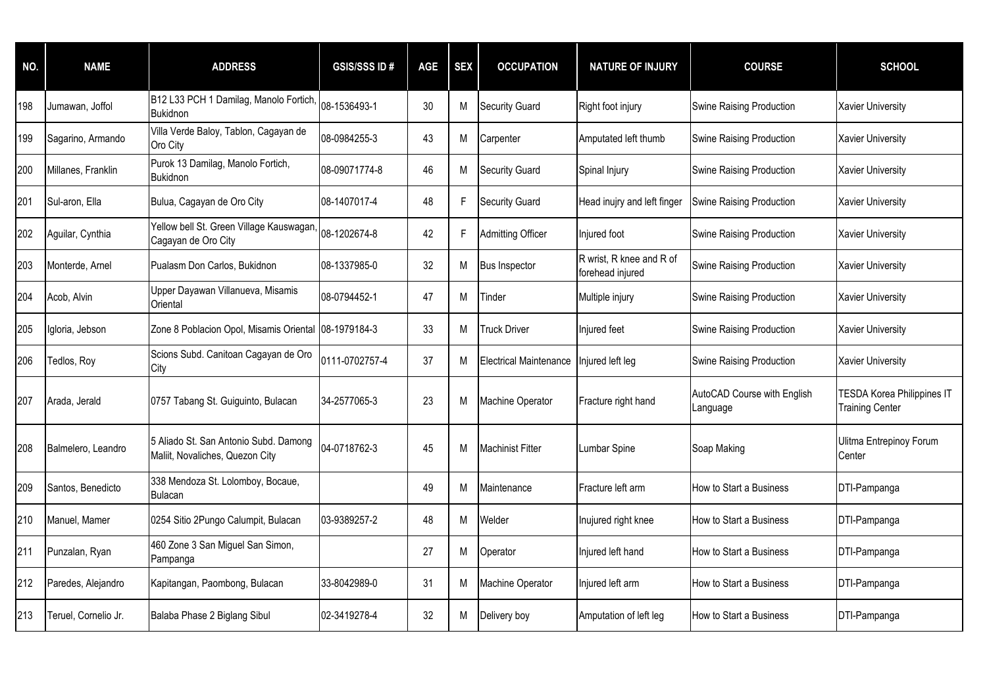| NO. | <b>NAME</b>          | <b>ADDRESS</b>                                                               | <b>GSIS/SSS ID#</b> | <b>AGE</b> | <b>SEX</b> | <b>OCCUPATION</b>             | <b>NATURE OF INJURY</b>                      | <b>COURSE</b>                           | <b>SCHOOL</b>                                               |
|-----|----------------------|------------------------------------------------------------------------------|---------------------|------------|------------|-------------------------------|----------------------------------------------|-----------------------------------------|-------------------------------------------------------------|
| 198 | Jumawan, Joffol      | B12 L33 PCH 1 Damilag, Manolo Fortich, 08-1536493-1<br><b>Bukidnon</b>       |                     | 30         | M          | <b>Security Guard</b>         | Right foot injury                            | <b>Swine Raising Production</b>         | <b>Xavier University</b>                                    |
| 199 | Sagarino, Armando    | Villa Verde Baloy, Tablon, Cagayan de<br>Oro City                            | 08-0984255-3        | 43         | M          | Carpenter                     | Amputated left thumb                         | <b>Swine Raising Production</b>         | <b>Xavier University</b>                                    |
| 200 | Millanes, Franklin   | Purok 13 Damilag, Manolo Fortich,<br><b>Bukidnon</b>                         | 08-09071774-8       | 46         | М          | <b>Security Guard</b>         | Spinal Injury                                | <b>Swine Raising Production</b>         | <b>Xavier University</b>                                    |
| 201 | Sul-aron, Ella       | Bulua, Cagayan de Oro City                                                   | 08-1407017-4        | 48         | F          | <b>Security Guard</b>         | Head inujry and left finger                  | <b>Swine Raising Production</b>         | <b>Xavier University</b>                                    |
| 202 | Aguilar, Cynthia     | Yellow bell St. Green Village Kauswagan, 08-1202674-8<br>Cagayan de Oro City |                     | 42         | F          | <b>Admitting Officer</b>      | Injured foot                                 | <b>Swine Raising Production</b>         | <b>Xavier University</b>                                    |
| 203 | Monterde, Arnel      | Pualasm Don Carlos, Bukidnon                                                 | 08-1337985-0        | 32         | М          | <b>Bus Inspector</b>          | R wrist, R knee and R of<br>forehead injured | <b>Swine Raising Production</b>         | <b>Xavier University</b>                                    |
| 204 | Acob, Alvin          | Upper Dayawan Villanueva, Misamis<br>Oriental                                | 08-0794452-1        | 47         | M          | Tinder                        | Multiple injury                              | <b>Swine Raising Production</b>         | <b>Xavier University</b>                                    |
| 205 | Igloria, Jebson      | Zone 8 Poblacion Opol, Misamis Oriental 08-1979184-3                         |                     | 33         | М          | <b>Truck Driver</b>           | njured feet                                  | Swine Raising Production                | <b>Xavier University</b>                                    |
| 206 | Tedlos, Roy          | Scions Subd. Canitoan Cagayan de Oro<br>City                                 | 0111-0702757-4      | 37         | M          | <b>Electrical Maintenance</b> | njured left leg                              | Swine Raising Production                | <b>Xavier University</b>                                    |
| 207 | Arada, Jerald        | 0757 Tabang St. Guiguinto, Bulacan                                           | 34-2577065-3        | 23         | М          | Machine Operator              | Fracture right hand                          | AutoCAD Course with English<br>Language | <b>TESDA Korea Philippines IT</b><br><b>Training Center</b> |
| 208 | Balmelero, Leandro   | 5 Aliado St. San Antonio Subd. Damong<br>Maliit, Novaliches, Quezon City     | 04-0718762-3        | 45         | М          | Machinist Fitter              | Lumbar Spine                                 | Soap Making                             | Ulitma Entrepinoy Forum<br>Center                           |
| 209 | Santos, Benedicto    | 338 Mendoza St. Lolomboy, Bocaue,<br>Bulacan                                 |                     | 49         | м          | Maintenance                   | Fracture left arm                            | How to Start a Business                 | DTI-Pampanga                                                |
| 210 | Manuel, Mamer        | 0254 Sitio 2Pungo Calumpit, Bulacan                                          | 03-9389257-2        | 48         | M          | Welder                        | Inujured right knee                          | How to Start a Business                 | DTI-Pampanga                                                |
| 211 | Punzalan, Ryan       | 460 Zone 3 San Miguel San Simon,<br>Pampanga                                 |                     | 27         | M          | Operator                      | njured left hand                             | How to Start a Business                 | DTI-Pampanga                                                |
| 212 | Paredes, Alejandro   | Kapitangan, Paombong, Bulacan                                                | 33-8042989-0        | 31         | M          | Machine Operator              | Injured left arm                             | How to Start a Business                 | DTI-Pampanga                                                |
| 213 | Teruel, Cornelio Jr. | Balaba Phase 2 Biglang Sibul                                                 | 02-3419278-4        | 32         | M          | Delivery boy                  | Amputation of left leg                       | How to Start a Business                 | DTI-Pampanga                                                |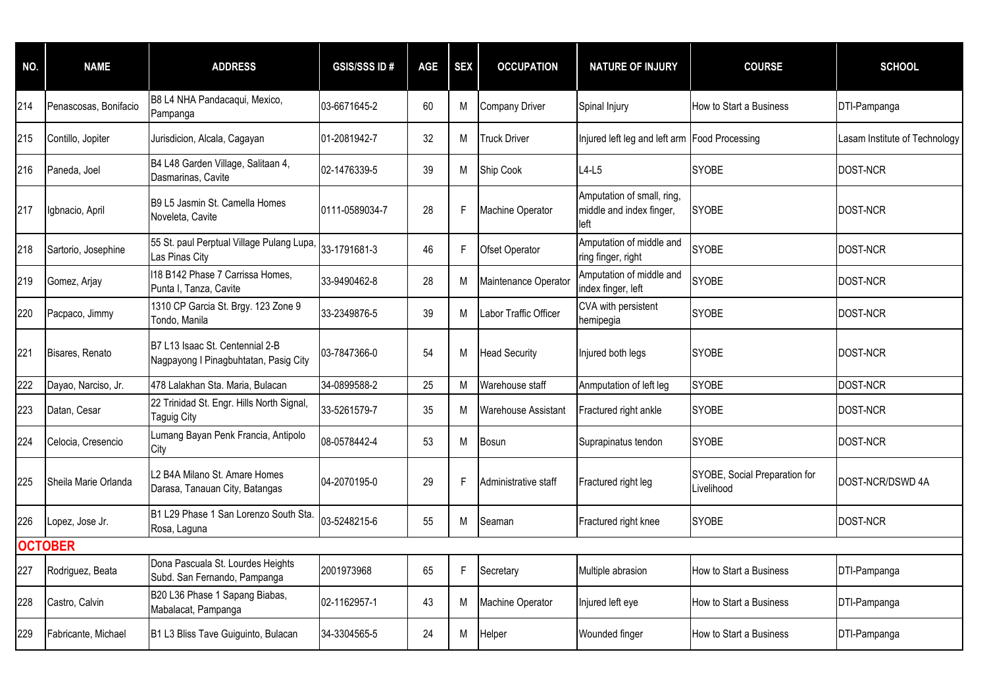| NO. | <b>NAME</b>           | <b>ADDRESS</b>                                                           | <b>GSIS/SSS ID#</b> | <b>AGE</b> | <b>SEX</b> | <b>OCCUPATION</b>     | <b>NATURE OF INJURY</b>                                        | <b>COURSE</b>                               | <b>SCHOOL</b>                 |
|-----|-----------------------|--------------------------------------------------------------------------|---------------------|------------|------------|-----------------------|----------------------------------------------------------------|---------------------------------------------|-------------------------------|
| 214 | Penascosas, Bonifacio | B8 L4 NHA Pandacaqui, Mexico,<br>Pampanga                                | 03-6671645-2        | 60         | M          | <b>Company Driver</b> | Spinal Injury                                                  | How to Start a Business                     | DTI-Pampanga                  |
| 215 | Contillo, Jopiter     | Jurisdicion, Alcala, Cagayan                                             | 01-2081942-7        | 32         | M          | <b>Truck Driver</b>   | Injured left leg and left arm Food Processing                  |                                             | Lasam Institute of Technology |
| 216 | Paneda, Joel          | B4 L48 Garden Village, Salitaan 4,<br>Dasmarinas, Cavite                 | 02-1476339-5        | 39         | M          | Ship Cook             | $L4-L5$                                                        | <b>SYOBE</b>                                | DOST-NCR                      |
| 217 | Igbnacio, April       | B9 L5 Jasmin St. Camella Homes<br>Noveleta, Cavite                       | 0111-0589034-7      | 28         | F.         | Machine Operator      | Amputation of small, ring,<br>middle and index finger,<br>left | <b>SYOBE</b>                                | DOST-NCR                      |
| 218 | Sartorio, Josephine   | 55 St. paul Perptual Village Pulang Lupa, 33-1791681-3<br>Las Pinas City |                     | 46         | F          | <b>Ofset Operator</b> | Amputation of middle and<br>ring finger, right                 | <b>SYOBE</b>                                | DOST-NCR                      |
| 219 | Gomez, Arjay          | 118 B142 Phase 7 Carrissa Homes,<br>Punta I, Tanza, Cavite               | 33-9490462-8        | 28         | M          | Maintenance Operator  | Amputation of middle and<br>index finger, left                 | <b>SYOBE</b>                                | DOST-NCR                      |
| 220 | Pacpaco, Jimmy        | 1310 CP Garcia St. Brgy. 123 Zone 9<br>Tondo, Manila                     | 33-2349876-5        | 39         | M          | Labor Traffic Officer | CVA with persistent<br>hemipegia                               | <b>SYOBE</b>                                | DOST-NCR                      |
| 221 | Bisares, Renato       | B7 L13 Isaac St. Centennial 2-B<br>Nagpayong I Pinagbuhtatan, Pasig City | 03-7847366-0        | 54         | M          | <b>Head Security</b>  | Injured both legs                                              | <b>SYOBE</b>                                | DOST-NCR                      |
| 222 | Dayao, Narciso, Jr.   | 478 Lalakhan Sta. Maria, Bulacan                                         | 34-0899588-2        | 25         | M          | Warehouse staff       | Anmputation of left leg                                        | <b>SYOBE</b>                                | DOST-NCR                      |
| 223 | Datan, Cesar          | 22 Trinidad St. Engr. Hills North Signal,<br><b>Taguig City</b>          | 33-5261579-7        | 35         | M          | Warehouse Assistant   | Fractured right ankle                                          | <b>SYOBE</b>                                | DOST-NCR                      |
| 224 | Celocia, Cresencio    | Lumang Bayan Penk Francia, Antipolo<br>City                              | 08-0578442-4        | 53         | М          | <b>Bosun</b>          | Suprapinatus tendon                                            | <b>SYOBE</b>                                | DOST-NCR                      |
| 225 | Sheila Marie Orlanda  | L2 B4A Milano St. Amare Homes<br>Darasa, Tanauan City, Batangas          | 04-2070195-0        | 29         | F.         | Administrative staff  | Fractured right leg                                            | SYOBE, Social Preparation for<br>Livelihood | DOST-NCR/DSWD 4A              |
| 226 | Lopez, Jose Jr.       | B1 L29 Phase 1 San Lorenzo South Sta<br>Rosa, Laguna                     | 03-5248215-6        | 55         | M          | Seaman                | Fractured right knee                                           | <b>SYOBE</b>                                | DOST-NCR                      |
|     | <b>OCTOBER</b>        |                                                                          |                     |            |            |                       |                                                                |                                             |                               |
| 227 | Rodriguez, Beata      | Dona Pascuala St. Lourdes Heights<br>Subd. San Fernando, Pampanga        | 2001973968          | 65         | F.         | Secretary             | Multiple abrasion                                              | How to Start a Business                     | DTI-Pampanga                  |
| 228 | Castro, Calvin        | B20 L36 Phase 1 Sapang Biabas,<br>Mabalacat, Pampanga                    | 02-1162957-1        | 43         | м          | Machine Operator      | Injured left eye                                               | How to Start a Business                     | DTI-Pampanga                  |
| 229 | Fabricante, Michael   | B1 L3 Bliss Tave Guiguinto, Bulacan                                      | 34-3304565-5        | 24         | M          | Helper                | Wounded finger                                                 | How to Start a Business                     | DTI-Pampanga                  |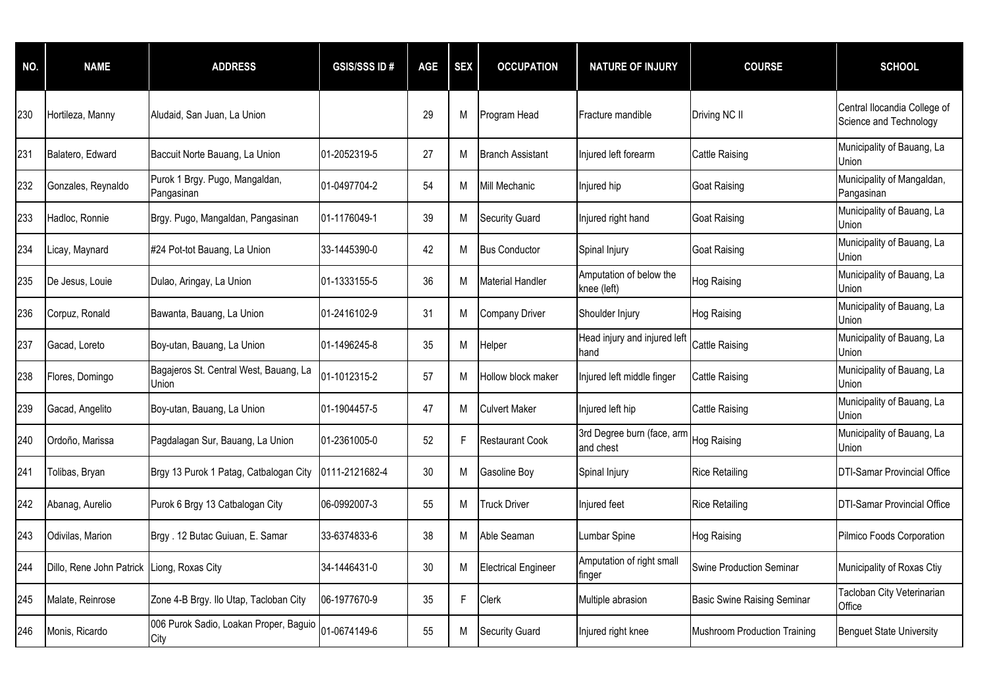| NO. | <b>NAME</b>                                | <b>ADDRESS</b>                                  | <b>GSIS/SSS ID#</b> | <b>AGE</b> | <b>SEX</b> | <b>OCCUPATION</b>          | <b>NATURE OF INJURY</b>                 | <b>COURSE</b>                       | <b>SCHOOL</b>                                          |
|-----|--------------------------------------------|-------------------------------------------------|---------------------|------------|------------|----------------------------|-----------------------------------------|-------------------------------------|--------------------------------------------------------|
| 230 | Hortileza, Manny                           | Aludaid, San Juan, La Union                     |                     | 29         | M          | Program Head               | Fracture mandible                       | Driving NC II                       | Central Ilocandia College of<br>Science and Technology |
| 231 | Balatero, Edward                           | Baccuit Norte Bauang, La Union                  | 01-2052319-5        | 27         | М          | <b>Branch Assistant</b>    | Injured left forearm                    | <b>Cattle Raising</b>               | Municipality of Bauang, La<br>Union                    |
| 232 | Gonzales, Reynaldo                         | Purok 1 Brgy. Pugo, Mangaldan,<br>Pangasinan    | 01-0497704-2        | 54         | М          | <b>Mill Mechanic</b>       | Injured hip                             | Goat Raising                        | Municipality of Mangaldan,<br>Pangasinan               |
| 233 | Hadloc, Ronnie                             | Brgy. Pugo, Mangaldan, Pangasinan               | 01-1176049-1        | 39         | м          | <b>Security Guard</b>      | Injured right hand                      | Goat Raising                        | Municipality of Bauang, La<br>Union                    |
| 234 | Licay, Maynard                             | #24 Pot-tot Bauang, La Union                    | 33-1445390-0        | 42         | M          | <b>Bus Conductor</b>       | Spinal Injury                           | <b>Goat Raising</b>                 | Municipality of Bauang, La<br>Union                    |
| 235 | De Jesus, Louie                            | Dulao, Aringay, La Union                        | 01-1333155-5        | 36         | M          | <b>Material Handler</b>    | Amputation of below the<br>knee (left)  | Hog Raising                         | Municipality of Bauang, La<br>Union                    |
| 236 | Corpuz, Ronald                             | Bawanta, Bauang, La Union                       | 01-2416102-9        | 31         | M          | <b>Company Driver</b>      | Shoulder Injury                         | Hog Raising                         | Municipality of Bauang, La<br>Union                    |
| 237 | Gacad, Loreto                              | Boy-utan, Bauang, La Union                      | 01-1496245-8        | 35         | М          | Helper                     | Head injury and injured left<br>hand    | Cattle Raising                      | Municipality of Bauang, La<br>Union                    |
| 238 | Flores, Domingo                            | Bagajeros St. Central West, Bauang, La<br>Union | 01-1012315-2        | 57         | M          | Hollow block maker         | Injured left middle finger              | <b>Cattle Raising</b>               | Municipality of Bauang, La<br>Union                    |
| 239 | Gacad, Angelito                            | Boy-utan, Bauang, La Union                      | 01-1904457-5        | 47         | M          | <b>Culvert Maker</b>       | Injured left hip                        | <b>Cattle Raising</b>               | Municipality of Bauang, La<br>Union                    |
| 240 | Ordoño, Marissa                            | Pagdalagan Sur, Bauang, La Union                | 01-2361005-0        | 52         | F          | <b>Restaurant Cook</b>     | 3rd Degree burn (face, arm<br>and chest | Hog Raising                         | Municipality of Bauang, La<br>Union                    |
| 241 | Tolibas, Bryan                             | Brgy 13 Purok 1 Patag, Catbalogan City          | 0111-2121682-4      | 30         | M          | Gasoline Boy               | Spinal Injury                           | Rice Retailing                      | <b>DTI-Samar Provincial Office</b>                     |
| 242 | Abanag, Aurelio                            | Purok 6 Brgy 13 Catbalogan City                 | 06-0992007-3        | 55         | M          | <b>Truck Driver</b>        | Injured feet                            | <b>Rice Retailing</b>               | <b>DTI-Samar Provincial Office</b>                     |
| 243 | Odivilas, Marion                           | Brgy. 12 Butac Guiuan, E. Samar                 | 33-6374833-6        | 38         | M          | Able Seaman                | <b>Lumbar Spine</b>                     | Hog Raising                         | Pilmico Foods Corporation                              |
| 244 | Dillo, Rene John Patrick Liong, Roxas City |                                                 | 34-1446431-0        | 30         | M          | <b>Electrical Engineer</b> | Amputation of right small<br>tinger     | Swine Production Seminar            | Municipality of Roxas Ctiy                             |
| 245 | Malate, Reinrose                           | Zone 4-B Brgy. Ilo Utap, Tacloban City          | 06-1977670-9        | 35         | F          | <b>Clerk</b>               | Multiple abrasion                       | <b>Basic Swine Raising Seminar</b>  | Tacloban City Veterinarian<br>Office                   |
| 246 | Monis, Ricardo                             | 006 Purok Sadio, Loakan Proper, Baguio<br>City  | 01-0674149-6        | 55         | М          | <b>Security Guard</b>      | Injured right knee                      | <b>Mushroom Production Training</b> | <b>Benguet State University</b>                        |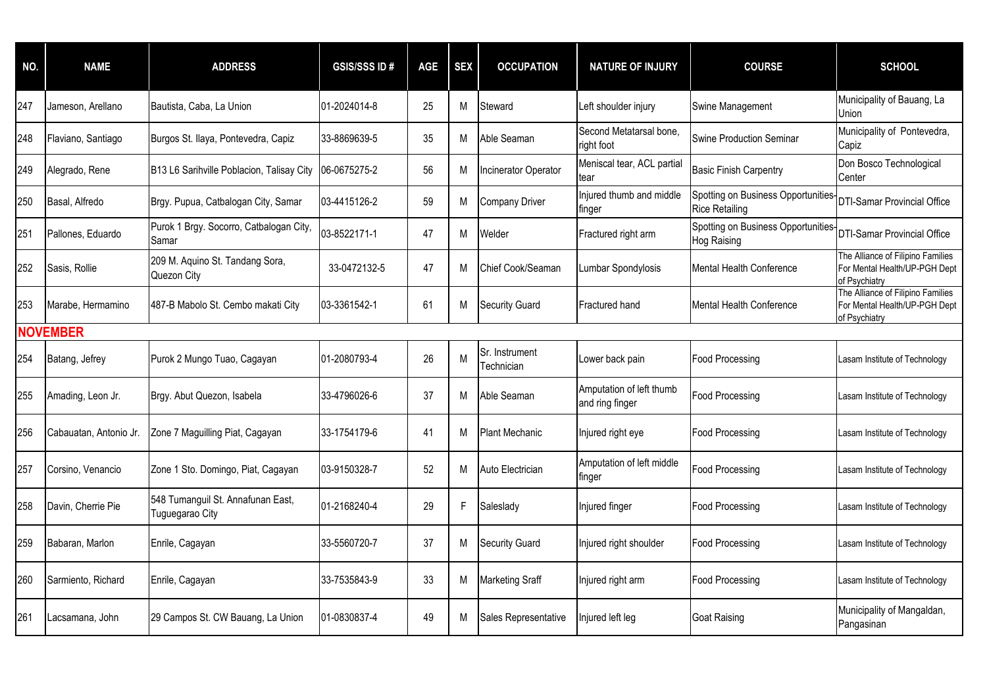| NO. | <b>NAME</b>            | <b>ADDRESS</b>                                       | <b>GSIS/SSS ID#</b> | <b>AGE</b> | <b>SEX</b> | <b>OCCUPATION</b>            | <b>NATURE OF INJURY</b>                     | <b>COURSE</b>                                               | <b>SCHOOL</b>                                                                       |
|-----|------------------------|------------------------------------------------------|---------------------|------------|------------|------------------------------|---------------------------------------------|-------------------------------------------------------------|-------------------------------------------------------------------------------------|
| 247 | Jameson, Arellano      | Bautista, Caba, La Union                             | 01-2024014-8        | 25         | М          | Steward                      | Left shoulder injury                        | Swine Management                                            | Municipality of Bauang, La<br>Union                                                 |
| 248 | Flaviano, Santiago     | Burgos St. Ilaya, Pontevedra, Capiz                  | 33-8869639-5        | 35         | M          | Able Seaman                  | Second Metatarsal bone,<br>right foot       | Swine Production Seminar                                    | Municipality of Pontevedra,<br>Capiz                                                |
| 249 | Alegrado, Rene         | B13 L6 Sarihville Poblacion, Talisay City            | 06-0675275-2        | 56         | М          | <b>Incinerator Operator</b>  | Meniscal tear, ACL partial<br>tear          | <b>Basic Finish Carpentry</b>                               | Don Bosco Technological<br>Center                                                   |
| 250 | Basal, Alfredo         | Brgy. Pupua, Catbalogan City, Samar                  | 03-4415126-2        | 59         | M          | Company Driver               | Injured thumb and middle<br>finger          | Spotting on Business Opportunities<br><b>Rice Retailing</b> | <b>DTI-Samar Provincial Office</b>                                                  |
| 251 | Pallones, Eduardo      | Purok 1 Brgy. Socorro, Catbalogan City,<br>Samar     | 03-8522171-1        | 47         | M          | Welder                       | Fractured right arm                         | Spotting on Business Opportunities<br>Hog Raising           | <b>DTI-Samar Provincial Office</b>                                                  |
| 252 | Sasis, Rollie          | 209 M. Aquino St. Tandang Sora,<br>Quezon City       | 33-0472132-5        | 47         | М          | Chief Cook/Seaman            | Lumbar Spondylosis                          | Mental Health Conference                                    | The Alliance of Filipino Families<br>For Mental Health/UP-PGH Dept<br>of Psychiatry |
| 253 | Marabe, Hermamino      | 487-B Mabolo St. Cembo makati City                   | 03-3361542-1        | 61         | М          | <b>Security Guard</b>        | Fractured hand                              | Mental Health Conference                                    | The Alliance of Filipino Families<br>For Mental Health/UP-PGH Dept<br>of Psychiatry |
|     | <b>NOVEMBER</b>        |                                                      |                     |            |            |                              |                                             |                                                             |                                                                                     |
| 254 | Batang, Jefrey         | Purok 2 Mungo Tuao, Cagayan                          | 01-2080793-4        | 26         | M          | Sr. Instrument<br>Technician | Lower back pain                             | <b>Food Processing</b>                                      | Lasam Institute of Technology                                                       |
| 255 | Amading, Leon Jr.      | Brgy. Abut Quezon, Isabela                           | 33-4796026-6        | 37         | М          | Able Seaman                  | Amputation of left thumb<br>and ring finger | Food Processing                                             | Lasam Institute of Technology                                                       |
| 256 | Cabauatan, Antonio Jr. | Zone 7 Maguilling Piat, Cagayan                      | 33-1754179-6        | 41         | М          | Plant Mechanic               | Injured right eye                           | <b>Food Processing</b>                                      | Lasam Institute of Technology                                                       |
| 257 | Corsino, Venancio      | Zone 1 Sto. Domingo, Piat, Cagayan                   | 03-9150328-7        | 52         | М          | Auto Electrician             | Amputation of left middle<br>finger         | Food Processing                                             | Lasam Institute of Technology                                                       |
| 258 | Davin, Cherrie Pie     | 548 Tumanguil St. Annafunan East,<br>Tuguegarao City | 01-2168240-4        | 29         | F          | Saleslady                    | Injured finger                              | Food Processing                                             | Lasam Institute of Technology                                                       |
| 259 | Babaran, Marlon        | Enrile, Cagayan                                      | 33-5560720-7        | 37         | М          | <b>Security Guard</b>        | Injured right shoulder                      | <b>Food Processing</b>                                      | Lasam Institute of Technology                                                       |
| 260 | Sarmiento, Richard     | Enrile, Cagayan                                      | 33-7535843-9        | 33         | М          | Marketing Sraff              | Injured right arm                           | Food Processing                                             | Lasam Institute of Technology                                                       |
| 261 | Lacsamana, John        | 29 Campos St. CW Bauang, La Union                    | 01-0830837-4        | 49         | М          | Sales Representative         | Injured left leg                            | Goat Raising                                                | Municipality of Mangaldan,<br>Pangasinan                                            |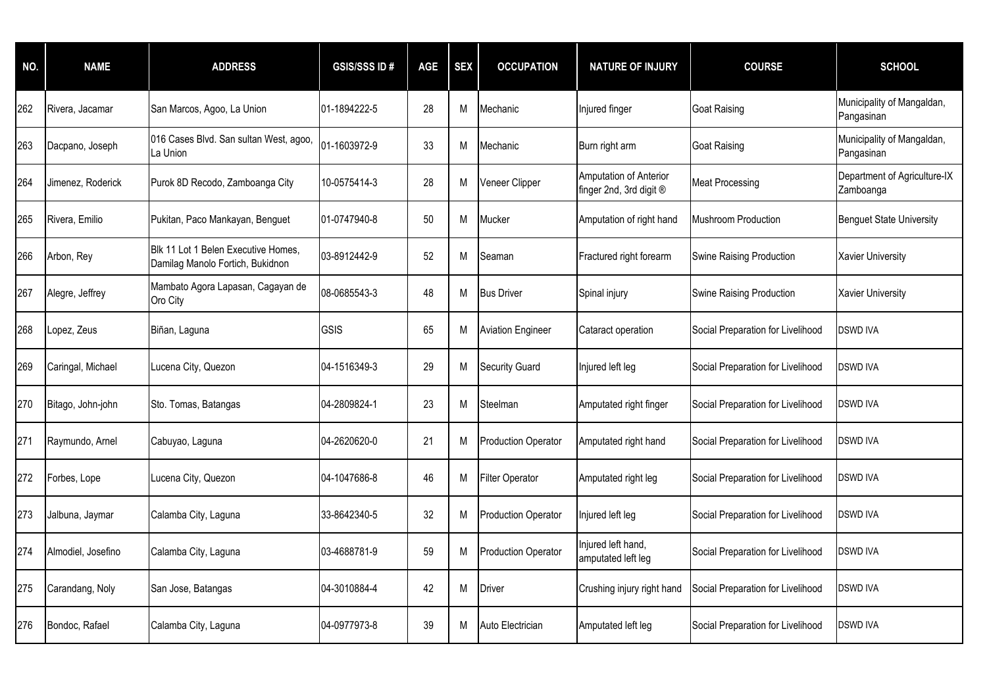| NO. | <b>NAME</b>        | <b>ADDRESS</b>                                                          | <b>GSIS/SSS ID#</b> | <b>AGE</b> | <b>SEX</b> | <b>OCCUPATION</b>          | <b>NATURE OF INJURY</b>                           | <b>COURSE</b>                     | <b>SCHOOL</b>                             |
|-----|--------------------|-------------------------------------------------------------------------|---------------------|------------|------------|----------------------------|---------------------------------------------------|-----------------------------------|-------------------------------------------|
| 262 | Rivera, Jacamar    | San Marcos, Agoo, La Union                                              | 01-1894222-5        | 28         | M          | Mechanic                   | Injured finger                                    | <b>Goat Raising</b>               | Municipality of Mangaldan,<br>Pangasinan  |
| 263 | Dacpano, Joseph    | 016 Cases Blvd. San sultan West, agoo,<br>La Union                      | 01-1603972-9        | 33         | M          | Mechanic                   | Burn right arm                                    | <b>Goat Raising</b>               | Municipality of Mangaldan,<br>Pangasinan  |
| 264 | Jimenez, Roderick  | Purok 8D Recodo, Zamboanga City                                         | 10-0575414-3        | 28         | M          | Veneer Clipper             | Amputation of Anterior<br>finger 2nd, 3rd digit ® | <b>Meat Processing</b>            | Department of Agriculture-IX<br>Zamboanga |
| 265 | Rivera, Emilio     | Pukitan, Paco Mankayan, Benguet                                         | 01-0747940-8        | 50         | M          | Mucker                     | Amputation of right hand                          | Mushroom Production               | <b>Benguet State University</b>           |
| 266 | Arbon, Rey         | Blk 11 Lot 1 Belen Executive Homes,<br>Damilag Manolo Fortich, Bukidnon | 03-8912442-9        | 52         | M          | Seaman                     | Fractured right forearm                           | Swine Raising Production          | <b>Xavier University</b>                  |
| 267 | Alegre, Jeffrey    | Mambato Agora Lapasan, Cagayan de<br>Oro City                           | 08-0685543-3        | 48         | M          | <b>Bus Driver</b>          | Spinal injury                                     | Swine Raising Production          | <b>Xavier University</b>                  |
| 268 | Lopez, Zeus        | Biñan, Laguna                                                           | GSIS                | 65         | M          | <b>Aviation Engineer</b>   | Cataract operation                                | Social Preparation for Livelihood | <b>DSWD IVA</b>                           |
| 269 | Caringal, Michael  | Lucena City, Quezon                                                     | 04-1516349-3        | 29         | M          | <b>Security Guard</b>      | Injured left leg                                  | Social Preparation for Livelihood | <b>DSWD IVA</b>                           |
| 270 | Bitago, John-john  | Sto. Tomas, Batangas                                                    | 04-2809824-1        | 23         | M          | Steelman                   | Amputated right finger                            | Social Preparation for Livelihood | <b>DSWD IVA</b>                           |
| 271 | Raymundo, Arnel    | Cabuyao, Laguna                                                         | 04-2620620-0        | 21         | M          | <b>Production Operator</b> | Amputated right hand                              | Social Preparation for Livelihood | <b>DSWD IVA</b>                           |
| 272 | Forbes, Lope       | Lucena City, Quezon                                                     | 04-1047686-8        | 46         | M          | <b>Filter Operator</b>     | Amputated right leg                               | Social Preparation for Livelihood | <b>DSWD IVA</b>                           |
| 273 | Jalbuna, Jaymar    | Calamba City, Laguna                                                    | 33-8642340-5        | 32         | M          | <b>Production Operator</b> | Injured left leg                                  | Social Preparation for Livelihood | <b>DSWD IVA</b>                           |
| 274 | Almodiel, Josefino | Calamba City, Laguna                                                    | 03-4688781-9        | 59         | M          | <b>Production Operator</b> | Injured left hand,<br>amputated left leg          | Social Preparation for Livelihood | <b>DSWD IVA</b>                           |
| 275 | Carandang, Noly    | San Jose, Batangas                                                      | 04-3010884-4        | 42         | M          | Driver                     | Crushing injury right hand                        | Social Preparation for Livelihood | <b>DSWD IVA</b>                           |
| 276 | Bondoc, Rafael     | Calamba City, Laguna                                                    | 04-0977973-8        | 39         | M          | Auto Electrician           | Amputated left leg                                | Social Preparation for Livelihood | <b>DSWD IVA</b>                           |